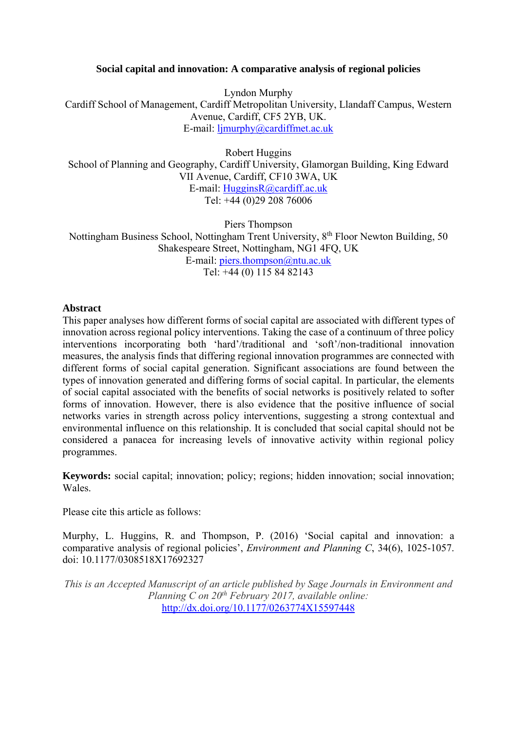# **Social capital and innovation: A comparative analysis of regional policies**

Lyndon Murphy Cardiff School of Management, Cardiff Metropolitan University, Llandaff Campus, Western Avenue, Cardiff, CF5 2YB, UK. E-mail: ljmurphy@cardiffmet.ac.uk

Robert Huggins School of Planning and Geography, Cardiff University, Glamorgan Building, King Edward VII Avenue, Cardiff, CF10 3WA, UK E-mail: HugginsR@cardiff.ac.uk Tel: +44 (0)29 208 76006

Piers Thompson Nottingham Business School, Nottingham Trent University, 8<sup>th</sup> Floor Newton Building, 50 Shakespeare Street, Nottingham, NG1 4FQ, UK E-mail: piers.thompson@ntu.ac.uk Tel: +44 (0) 115 84 82143

# **Abstract**

This paper analyses how different forms of social capital are associated with different types of innovation across regional policy interventions. Taking the case of a continuum of three policy interventions incorporating both 'hard'/traditional and 'soft'/non-traditional innovation measures, the analysis finds that differing regional innovation programmes are connected with different forms of social capital generation. Significant associations are found between the types of innovation generated and differing forms of social capital. In particular, the elements of social capital associated with the benefits of social networks is positively related to softer forms of innovation. However, there is also evidence that the positive influence of social networks varies in strength across policy interventions, suggesting a strong contextual and environmental influence on this relationship. It is concluded that social capital should not be considered a panacea for increasing levels of innovative activity within regional policy programmes.

**Keywords:** social capital; innovation; policy; regions; hidden innovation; social innovation; Wales.

Please cite this article as follows:

Murphy, L. Huggins, R. and Thompson, P. (2016) 'Social capital and innovation: a comparative analysis of regional policies', *Environment and Planning C*, 34(6), 1025-1057. doi: 10.1177/0308518X17692327

*This is an Accepted Manuscript of an article published by Sage Journals in Environment and Planning C on 20th February 2017, available online:*  http://dx.doi.org/10.1177/0263774X15597448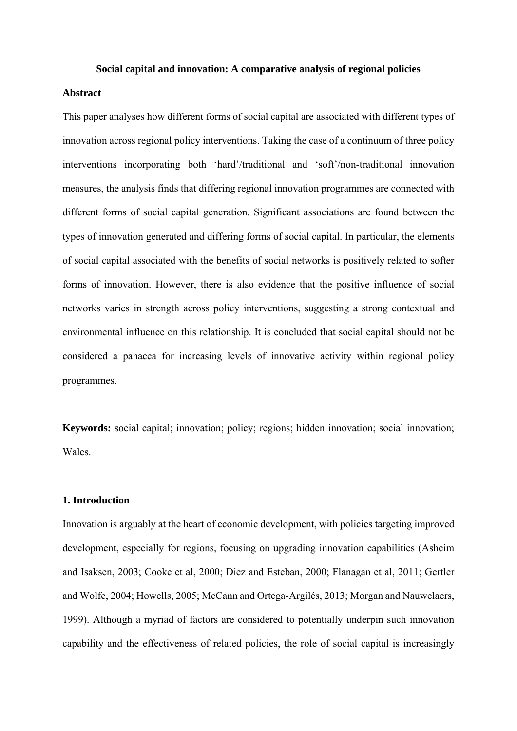#### **Social capital and innovation: A comparative analysis of regional policies**

# **Abstract**

This paper analyses how different forms of social capital are associated with different types of innovation across regional policy interventions. Taking the case of a continuum of three policy interventions incorporating both 'hard'/traditional and 'soft'/non-traditional innovation measures, the analysis finds that differing regional innovation programmes are connected with different forms of social capital generation. Significant associations are found between the types of innovation generated and differing forms of social capital. In particular, the elements of social capital associated with the benefits of social networks is positively related to softer forms of innovation. However, there is also evidence that the positive influence of social networks varies in strength across policy interventions, suggesting a strong contextual and environmental influence on this relationship. It is concluded that social capital should not be considered a panacea for increasing levels of innovative activity within regional policy programmes.

**Keywords:** social capital; innovation; policy; regions; hidden innovation; social innovation; Wales.

#### **1. Introduction**

Innovation is arguably at the heart of economic development, with policies targeting improved development, especially for regions, focusing on upgrading innovation capabilities (Asheim and Isaksen, 2003; Cooke et al, 2000; Diez and Esteban, 2000; Flanagan et al, 2011; Gertler and Wolfe, 2004; Howells, 2005; McCann and Ortega-Argilés, 2013; Morgan and Nauwelaers, 1999). Although a myriad of factors are considered to potentially underpin such innovation capability and the effectiveness of related policies, the role of social capital is increasingly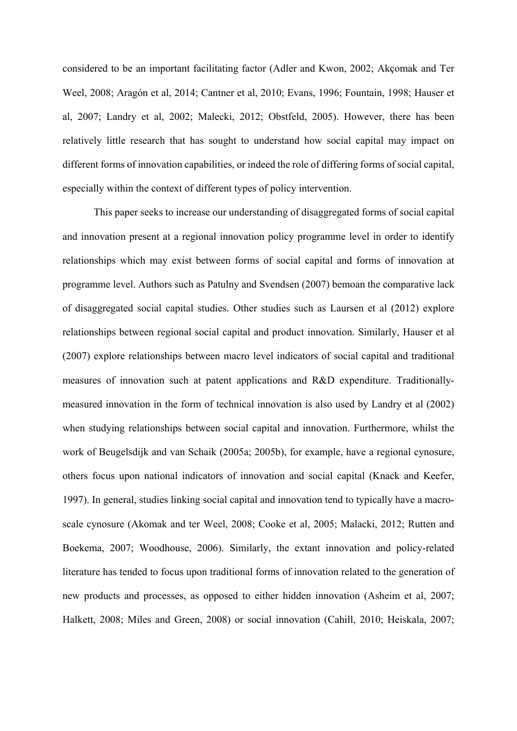considered to be an important facilitating factor (Adler and Kwon, 2002; Akçomak and Ter Weel, 2008; Aragón et al, 2014; Cantner et al, 2010; Evans, 1996; Fountain, 1998; Hauser et al, 2007; Landry et al, 2002; Malecki, 2012; Obstfeld, 2005). However, there has been relatively little research that has sought to understand how social capital may impact on different forms of innovation capabilities, or indeed the role of differing forms of social capital, especially within the context of different types of policy intervention.

This paper seeks to increase our understanding of disaggregated forms of social capital and innovation present at a regional innovation policy programme level in order to identify relationships which may exist between forms of social capital and forms of innovation at programme level. Authors such as Patulny and Svendsen (2007) bemoan the comparative lack of disaggregated social capital studies. Other studies such as Laursen et al (2012) explore relationships between regional social capital and product innovation. Similarly, Hauser et al (2007) explore relationships between macro level indicators of social capital and traditional measures of innovation such at patent applications and R&D expenditure. Traditionallymeasured innovation in the form of technical innovation is also used by Landry et al (2002) when studying relationships between social capital and innovation. Furthermore, whilst the work of Beugelsdijk and van Schaik (2005a; 2005b), for example, have a regional cynosure, others focus upon national indicators of innovation and social capital (Knack and Keefer, 1997). In general, studies linking social capital and innovation tend to typically have a macroscale cynosure (Akomak and ter Weel, 2008; Cooke et al, 2005; Malacki, 2012; Rutten and Boekema, 2007; Woodhouse, 2006). Similarly, the extant innovation and policy-related literature has tended to focus upon traditional forms of innovation related to the generation of new products and processes, as opposed to either hidden innovation (Asheim et al, 2007; Halkett, 2008; Miles and Green, 2008) or social innovation (Cahill, 2010; Heiskala, 2007;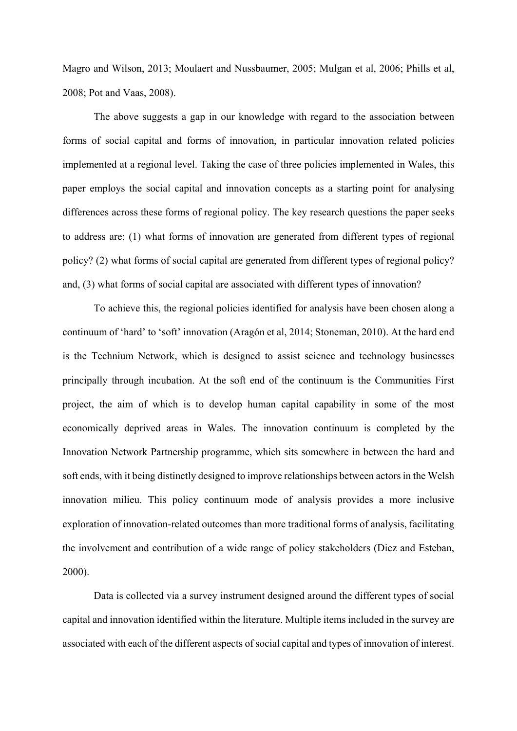Magro and Wilson, 2013; Moulaert and Nussbaumer, 2005; Mulgan et al, 2006; Phills et al, 2008; Pot and Vaas, 2008).

The above suggests a gap in our knowledge with regard to the association between forms of social capital and forms of innovation, in particular innovation related policies implemented at a regional level. Taking the case of three policies implemented in Wales, this paper employs the social capital and innovation concepts as a starting point for analysing differences across these forms of regional policy. The key research questions the paper seeks to address are: (1) what forms of innovation are generated from different types of regional policy? (2) what forms of social capital are generated from different types of regional policy? and, (3) what forms of social capital are associated with different types of innovation?

To achieve this, the regional policies identified for analysis have been chosen along a continuum of 'hard' to 'soft' innovation (Aragón et al, 2014; Stoneman, 2010). At the hard end is the Technium Network, which is designed to assist science and technology businesses principally through incubation. At the soft end of the continuum is the Communities First project, the aim of which is to develop human capital capability in some of the most economically deprived areas in Wales. The innovation continuum is completed by the Innovation Network Partnership programme, which sits somewhere in between the hard and soft ends, with it being distinctly designed to improve relationships between actors in the Welsh innovation milieu. This policy continuum mode of analysis provides a more inclusive exploration of innovation-related outcomes than more traditional forms of analysis, facilitating the involvement and contribution of a wide range of policy stakeholders (Diez and Esteban, 2000).

Data is collected via a survey instrument designed around the different types of social capital and innovation identified within the literature. Multiple items included in the survey are associated with each of the different aspects of social capital and types of innovation of interest.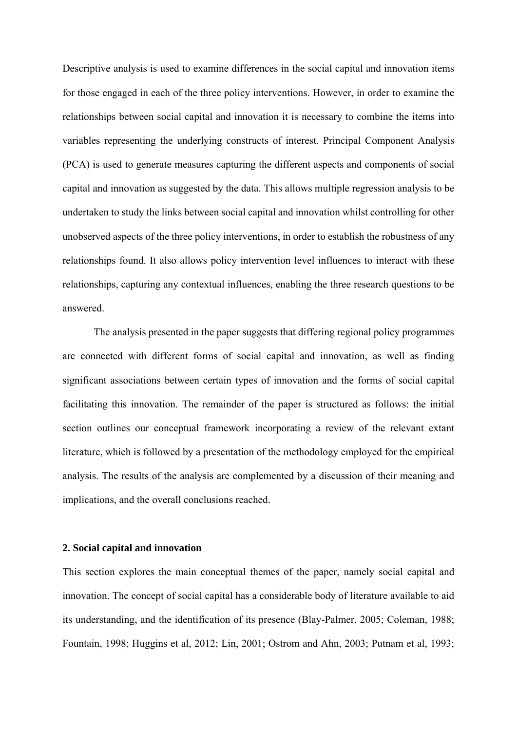Descriptive analysis is used to examine differences in the social capital and innovation items for those engaged in each of the three policy interventions. However, in order to examine the relationships between social capital and innovation it is necessary to combine the items into variables representing the underlying constructs of interest. Principal Component Analysis (PCA) is used to generate measures capturing the different aspects and components of social capital and innovation as suggested by the data. This allows multiple regression analysis to be undertaken to study the links between social capital and innovation whilst controlling for other unobserved aspects of the three policy interventions, in order to establish the robustness of any relationships found. It also allows policy intervention level influences to interact with these relationships, capturing any contextual influences, enabling the three research questions to be answered.

The analysis presented in the paper suggests that differing regional policy programmes are connected with different forms of social capital and innovation, as well as finding significant associations between certain types of innovation and the forms of social capital facilitating this innovation. The remainder of the paper is structured as follows: the initial section outlines our conceptual framework incorporating a review of the relevant extant literature, which is followed by a presentation of the methodology employed for the empirical analysis. The results of the analysis are complemented by a discussion of their meaning and implications, and the overall conclusions reached.

### **2. Social capital and innovation**

This section explores the main conceptual themes of the paper, namely social capital and innovation. The concept of social capital has a considerable body of literature available to aid its understanding, and the identification of its presence (Blay-Palmer, 2005; Coleman, 1988; Fountain, 1998; Huggins et al, 2012; Lin, 2001; Ostrom and Ahn, 2003; Putnam et al, 1993;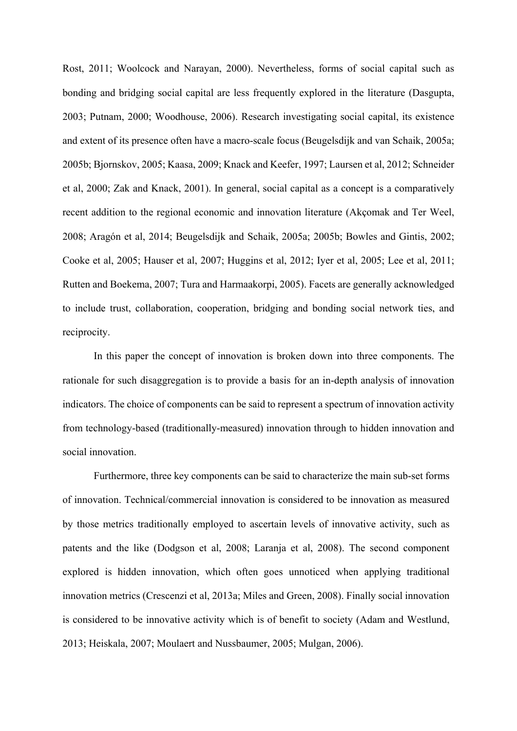Rost, 2011; Woolcock and Narayan, 2000). Nevertheless, forms of social capital such as bonding and bridging social capital are less frequently explored in the literature (Dasgupta, 2003; Putnam, 2000; Woodhouse, 2006). Research investigating social capital, its existence and extent of its presence often have a macro-scale focus (Beugelsdijk and van Schaik, 2005a; 2005b; Bjornskov, 2005; Kaasa, 2009; Knack and Keefer, 1997; Laursen et al, 2012; Schneider et al, 2000; Zak and Knack, 2001). In general, social capital as a concept is a comparatively recent addition to the regional economic and innovation literature (Akçomak and Ter Weel, 2008; Aragón et al, 2014; Beugelsdijk and Schaik, 2005a; 2005b; Bowles and Gintis, 2002; Cooke et al, 2005; Hauser et al, 2007; Huggins et al, 2012; Iyer et al, 2005; Lee et al, 2011; Rutten and Boekema, 2007; Tura and Harmaakorpi, 2005). Facets are generally acknowledged to include trust, collaboration, cooperation, bridging and bonding social network ties, and reciprocity.

In this paper the concept of innovation is broken down into three components. The rationale for such disaggregation is to provide a basis for an in-depth analysis of innovation indicators. The choice of components can be said to represent a spectrum of innovation activity from technology-based (traditionally-measured) innovation through to hidden innovation and social innovation.

Furthermore, three key components can be said to characterize the main sub-set forms of innovation. Technical/commercial innovation is considered to be innovation as measured by those metrics traditionally employed to ascertain levels of innovative activity, such as patents and the like (Dodgson et al, 2008; Laranja et al, 2008). The second component explored is hidden innovation, which often goes unnoticed when applying traditional innovation metrics (Crescenzi et al, 2013a; Miles and Green, 2008). Finally social innovation is considered to be innovative activity which is of benefit to society (Adam and Westlund, 2013; Heiskala, 2007; Moulaert and Nussbaumer, 2005; Mulgan, 2006).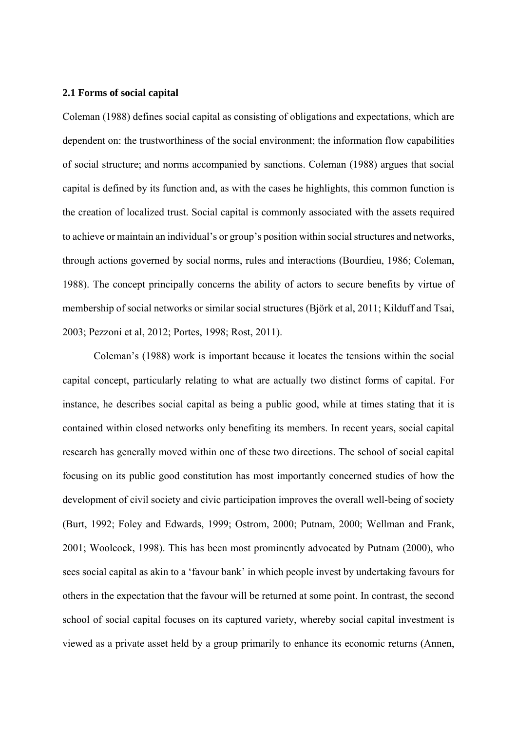#### **2.1 Forms of social capital**

Coleman (1988) defines social capital as consisting of obligations and expectations, which are dependent on: the trustworthiness of the social environment; the information flow capabilities of social structure; and norms accompanied by sanctions. Coleman (1988) argues that social capital is defined by its function and, as with the cases he highlights, this common function is the creation of localized trust. Social capital is commonly associated with the assets required to achieve or maintain an individual's or group's position within social structures and networks, through actions governed by social norms, rules and interactions (Bourdieu, 1986; Coleman, 1988). The concept principally concerns the ability of actors to secure benefits by virtue of membership of social networks or similar social structures (Björk et al, 2011; Kilduff and Tsai, 2003; Pezzoni et al, 2012; Portes, 1998; Rost, 2011).

Coleman's (1988) work is important because it locates the tensions within the social capital concept, particularly relating to what are actually two distinct forms of capital. For instance, he describes social capital as being a public good, while at times stating that it is contained within closed networks only benefiting its members. In recent years, social capital research has generally moved within one of these two directions. The school of social capital focusing on its public good constitution has most importantly concerned studies of how the development of civil society and civic participation improves the overall well-being of society (Burt, 1992; Foley and Edwards, 1999; Ostrom, 2000; Putnam, 2000; Wellman and Frank, 2001; Woolcock, 1998). This has been most prominently advocated by Putnam (2000), who sees social capital as akin to a 'favour bank' in which people invest by undertaking favours for others in the expectation that the favour will be returned at some point. In contrast, the second school of social capital focuses on its captured variety, whereby social capital investment is viewed as a private asset held by a group primarily to enhance its economic returns (Annen,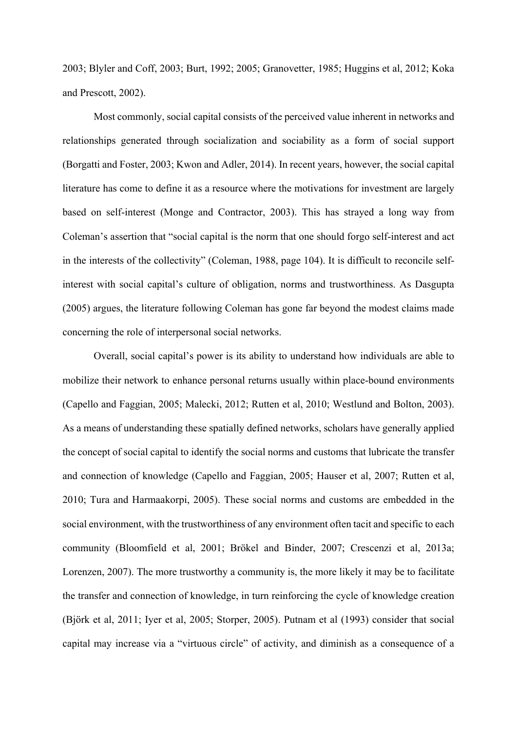2003; Blyler and Coff, 2003; Burt, 1992; 2005; Granovetter, 1985; Huggins et al, 2012; Koka and Prescott, 2002).

Most commonly, social capital consists of the perceived value inherent in networks and relationships generated through socialization and sociability as a form of social support (Borgatti and Foster, 2003; Kwon and Adler, 2014). In recent years, however, the social capital literature has come to define it as a resource where the motivations for investment are largely based on self-interest (Monge and Contractor, 2003). This has strayed a long way from Coleman's assertion that "social capital is the norm that one should forgo self-interest and act in the interests of the collectivity" (Coleman, 1988, page 104). It is difficult to reconcile selfinterest with social capital's culture of obligation, norms and trustworthiness. As Dasgupta (2005) argues, the literature following Coleman has gone far beyond the modest claims made concerning the role of interpersonal social networks.

Overall, social capital's power is its ability to understand how individuals are able to mobilize their network to enhance personal returns usually within place-bound environments (Capello and Faggian, 2005; Malecki, 2012; Rutten et al, 2010; Westlund and Bolton, 2003). As a means of understanding these spatially defined networks, scholars have generally applied the concept of social capital to identify the social norms and customs that lubricate the transfer and connection of knowledge (Capello and Faggian, 2005; Hauser et al, 2007; Rutten et al, 2010; Tura and Harmaakorpi, 2005). These social norms and customs are embedded in the social environment, with the trustworthiness of any environment often tacit and specific to each community (Bloomfield et al, 2001; Brökel and Binder, 2007; Crescenzi et al, 2013a; Lorenzen, 2007). The more trustworthy a community is, the more likely it may be to facilitate the transfer and connection of knowledge, in turn reinforcing the cycle of knowledge creation (Björk et al, 2011; Iyer et al, 2005; Storper, 2005). Putnam et al (1993) consider that social capital may increase via a "virtuous circle" of activity, and diminish as a consequence of a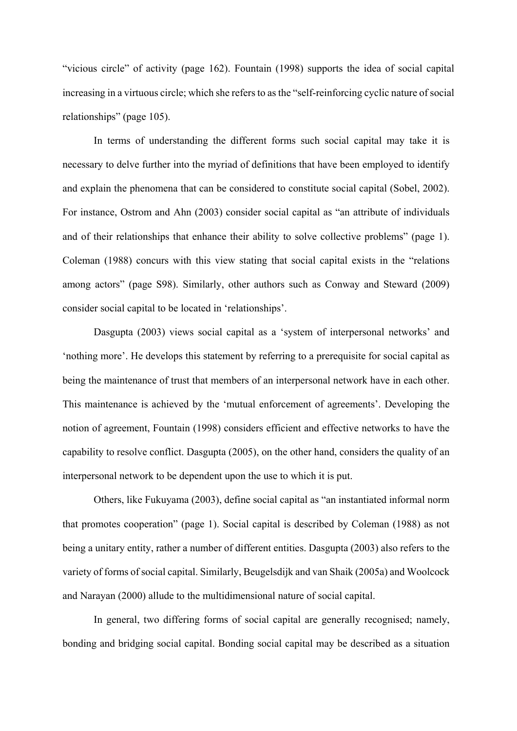"vicious circle" of activity (page 162). Fountain (1998) supports the idea of social capital increasing in a virtuous circle; which she refers to as the "self-reinforcing cyclic nature of social relationships" (page 105).

In terms of understanding the different forms such social capital may take it is necessary to delve further into the myriad of definitions that have been employed to identify and explain the phenomena that can be considered to constitute social capital (Sobel, 2002). For instance, Ostrom and Ahn (2003) consider social capital as "an attribute of individuals and of their relationships that enhance their ability to solve collective problems" (page 1). Coleman (1988) concurs with this view stating that social capital exists in the "relations among actors" (page S98). Similarly, other authors such as Conway and Steward (2009) consider social capital to be located in 'relationships'.

Dasgupta (2003) views social capital as a 'system of interpersonal networks' and 'nothing more'. He develops this statement by referring to a prerequisite for social capital as being the maintenance of trust that members of an interpersonal network have in each other. This maintenance is achieved by the 'mutual enforcement of agreements'. Developing the notion of agreement, Fountain (1998) considers efficient and effective networks to have the capability to resolve conflict. Dasgupta (2005), on the other hand, considers the quality of an interpersonal network to be dependent upon the use to which it is put.

Others, like Fukuyama (2003), define social capital as "an instantiated informal norm that promotes cooperation" (page 1). Social capital is described by Coleman (1988) as not being a unitary entity, rather a number of different entities. Dasgupta (2003) also refers to the variety of forms of social capital. Similarly, Beugelsdijk and van Shaik (2005a) and Woolcock and Narayan (2000) allude to the multidimensional nature of social capital.

In general, two differing forms of social capital are generally recognised; namely, bonding and bridging social capital. Bonding social capital may be described as a situation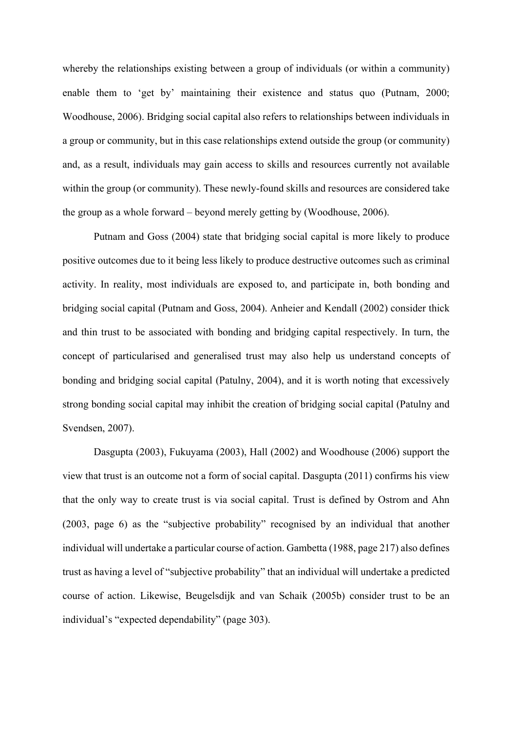whereby the relationships existing between a group of individuals (or within a community) enable them to 'get by' maintaining their existence and status quo (Putnam, 2000; Woodhouse, 2006). Bridging social capital also refers to relationships between individuals in a group or community, but in this case relationships extend outside the group (or community) and, as a result, individuals may gain access to skills and resources currently not available within the group (or community). These newly-found skills and resources are considered take the group as a whole forward – beyond merely getting by (Woodhouse, 2006).

Putnam and Goss (2004) state that bridging social capital is more likely to produce positive outcomes due to it being less likely to produce destructive outcomes such as criminal activity. In reality, most individuals are exposed to, and participate in, both bonding and bridging social capital (Putnam and Goss, 2004). Anheier and Kendall (2002) consider thick and thin trust to be associated with bonding and bridging capital respectively. In turn, the concept of particularised and generalised trust may also help us understand concepts of bonding and bridging social capital (Patulny, 2004), and it is worth noting that excessively strong bonding social capital may inhibit the creation of bridging social capital (Patulny and Svendsen, 2007).

Dasgupta (2003), Fukuyama (2003), Hall (2002) and Woodhouse (2006) support the view that trust is an outcome not a form of social capital. Dasgupta (2011) confirms his view that the only way to create trust is via social capital. Trust is defined by Ostrom and Ahn (2003, page 6) as the "subjective probability" recognised by an individual that another individual will undertake a particular course of action. Gambetta (1988, page 217) also defines trust as having a level of "subjective probability" that an individual will undertake a predicted course of action. Likewise, Beugelsdijk and van Schaik (2005b) consider trust to be an individual's "expected dependability" (page 303).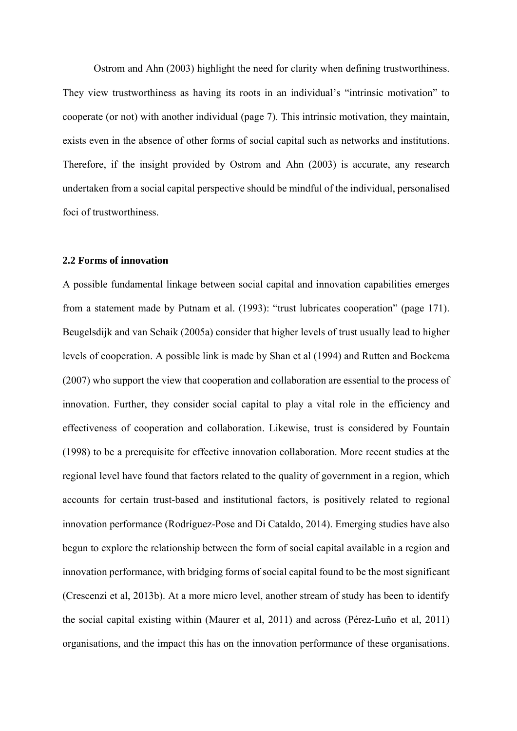Ostrom and Ahn (2003) highlight the need for clarity when defining trustworthiness. They view trustworthiness as having its roots in an individual's "intrinsic motivation" to cooperate (or not) with another individual (page 7). This intrinsic motivation, they maintain, exists even in the absence of other forms of social capital such as networks and institutions. Therefore, if the insight provided by Ostrom and Ahn (2003) is accurate, any research undertaken from a social capital perspective should be mindful of the individual, personalised foci of trustworthiness.

### **2.2 Forms of innovation**

A possible fundamental linkage between social capital and innovation capabilities emerges from a statement made by Putnam et al. (1993): "trust lubricates cooperation" (page 171). Beugelsdijk and van Schaik (2005a) consider that higher levels of trust usually lead to higher levels of cooperation. A possible link is made by Shan et al (1994) and Rutten and Boekema (2007) who support the view that cooperation and collaboration are essential to the process of innovation. Further, they consider social capital to play a vital role in the efficiency and effectiveness of cooperation and collaboration. Likewise, trust is considered by Fountain (1998) to be a prerequisite for effective innovation collaboration. More recent studies at the regional level have found that factors related to the quality of government in a region, which accounts for certain trust-based and institutional factors, is positively related to regional innovation performance (Rodríguez-Pose and Di Cataldo, 2014). Emerging studies have also begun to explore the relationship between the form of social capital available in a region and innovation performance, with bridging forms of social capital found to be the most significant (Crescenzi et al, 2013b). At a more micro level, another stream of study has been to identify the social capital existing within (Maurer et al, 2011) and across (Pérez-Luño et al, 2011) organisations, and the impact this has on the innovation performance of these organisations.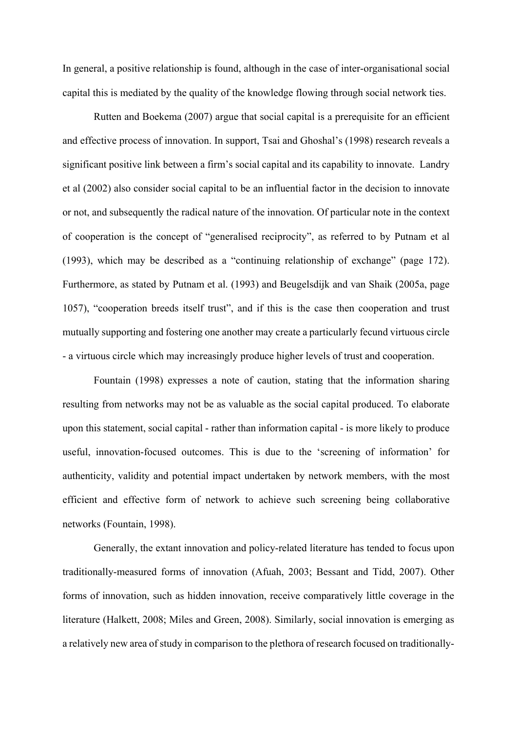In general, a positive relationship is found, although in the case of inter-organisational social capital this is mediated by the quality of the knowledge flowing through social network ties.

Rutten and Boekema (2007) argue that social capital is a prerequisite for an efficient and effective process of innovation. In support, Tsai and Ghoshal's (1998) research reveals a significant positive link between a firm's social capital and its capability to innovate. Landry et al (2002) also consider social capital to be an influential factor in the decision to innovate or not, and subsequently the radical nature of the innovation. Of particular note in the context of cooperation is the concept of "generalised reciprocity", as referred to by Putnam et al (1993), which may be described as a "continuing relationship of exchange" (page 172). Furthermore, as stated by Putnam et al. (1993) and Beugelsdijk and van Shaik (2005a, page 1057), "cooperation breeds itself trust", and if this is the case then cooperation and trust mutually supporting and fostering one another may create a particularly fecund virtuous circle - a virtuous circle which may increasingly produce higher levels of trust and cooperation.

Fountain (1998) expresses a note of caution, stating that the information sharing resulting from networks may not be as valuable as the social capital produced. To elaborate upon this statement, social capital - rather than information capital - is more likely to produce useful, innovation-focused outcomes. This is due to the 'screening of information' for authenticity, validity and potential impact undertaken by network members, with the most efficient and effective form of network to achieve such screening being collaborative networks (Fountain, 1998).

Generally, the extant innovation and policy-related literature has tended to focus upon traditionally-measured forms of innovation (Afuah, 2003; Bessant and Tidd, 2007). Other forms of innovation, such as hidden innovation, receive comparatively little coverage in the literature (Halkett, 2008; Miles and Green, 2008). Similarly, social innovation is emerging as a relatively new area of study in comparison to the plethora of research focused on traditionally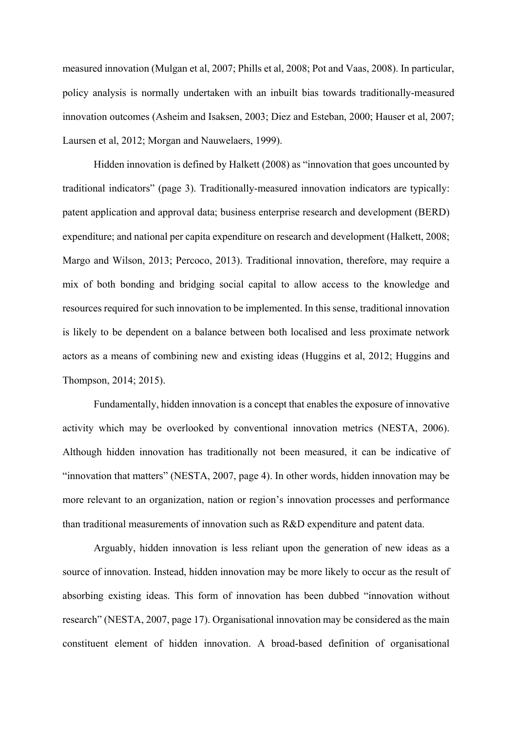measured innovation (Mulgan et al, 2007; Phills et al, 2008; Pot and Vaas, 2008). In particular, policy analysis is normally undertaken with an inbuilt bias towards traditionally-measured innovation outcomes (Asheim and Isaksen, 2003; Diez and Esteban, 2000; Hauser et al, 2007; Laursen et al, 2012; Morgan and Nauwelaers, 1999).

Hidden innovation is defined by Halkett (2008) as "innovation that goes uncounted by traditional indicators" (page 3). Traditionally-measured innovation indicators are typically: patent application and approval data; business enterprise research and development (BERD) expenditure; and national per capita expenditure on research and development (Halkett, 2008; Margo and Wilson, 2013; Percoco, 2013). Traditional innovation, therefore, may require a mix of both bonding and bridging social capital to allow access to the knowledge and resources required for such innovation to be implemented. In this sense, traditional innovation is likely to be dependent on a balance between both localised and less proximate network actors as a means of combining new and existing ideas (Huggins et al, 2012; Huggins and Thompson, 2014; 2015).

Fundamentally, hidden innovation is a concept that enables the exposure of innovative activity which may be overlooked by conventional innovation metrics (NESTA, 2006). Although hidden innovation has traditionally not been measured, it can be indicative of "innovation that matters" (NESTA, 2007, page 4). In other words, hidden innovation may be more relevant to an organization, nation or region's innovation processes and performance than traditional measurements of innovation such as R&D expenditure and patent data.

Arguably, hidden innovation is less reliant upon the generation of new ideas as a source of innovation. Instead, hidden innovation may be more likely to occur as the result of absorbing existing ideas. This form of innovation has been dubbed "innovation without research" (NESTA, 2007, page 17). Organisational innovation may be considered as the main constituent element of hidden innovation. A broad-based definition of organisational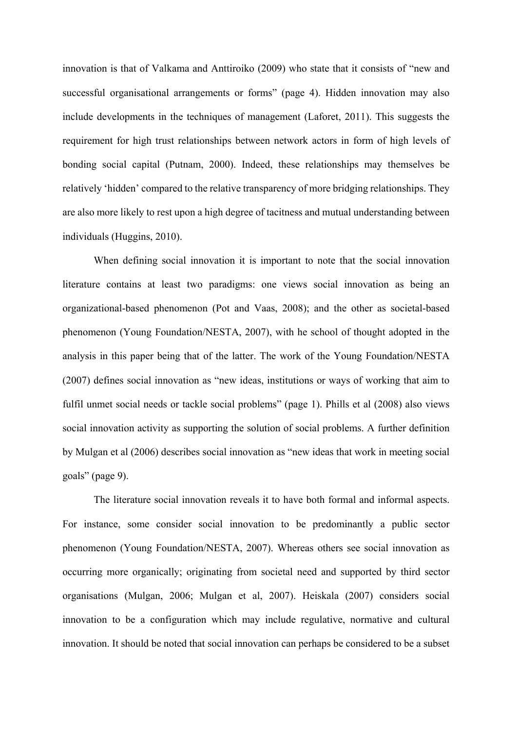innovation is that of Valkama and Anttiroiko (2009) who state that it consists of "new and successful organisational arrangements or forms" (page 4). Hidden innovation may also include developments in the techniques of management (Laforet, 2011). This suggests the requirement for high trust relationships between network actors in form of high levels of bonding social capital (Putnam, 2000). Indeed, these relationships may themselves be relatively 'hidden' compared to the relative transparency of more bridging relationships. They are also more likely to rest upon a high degree of tacitness and mutual understanding between individuals (Huggins, 2010).

When defining social innovation it is important to note that the social innovation literature contains at least two paradigms: one views social innovation as being an organizational-based phenomenon (Pot and Vaas, 2008); and the other as societal-based phenomenon (Young Foundation/NESTA, 2007), with he school of thought adopted in the analysis in this paper being that of the latter. The work of the Young Foundation/NESTA (2007) defines social innovation as "new ideas, institutions or ways of working that aim to fulfil unmet social needs or tackle social problems" (page 1). Phills et al (2008) also views social innovation activity as supporting the solution of social problems. A further definition by Mulgan et al (2006) describes social innovation as "new ideas that work in meeting social goals" (page 9).

The literature social innovation reveals it to have both formal and informal aspects. For instance, some consider social innovation to be predominantly a public sector phenomenon (Young Foundation/NESTA, 2007). Whereas others see social innovation as occurring more organically; originating from societal need and supported by third sector organisations (Mulgan, 2006; Mulgan et al, 2007). Heiskala (2007) considers social innovation to be a configuration which may include regulative, normative and cultural innovation. It should be noted that social innovation can perhaps be considered to be a subset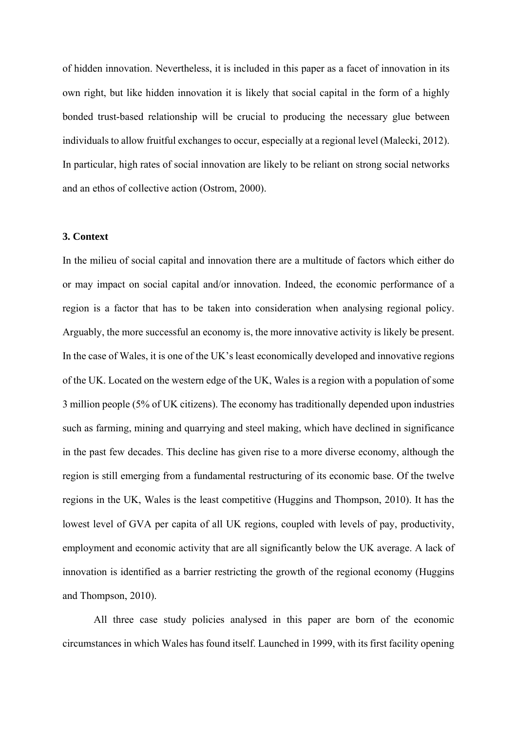of hidden innovation. Nevertheless, it is included in this paper as a facet of innovation in its own right, but like hidden innovation it is likely that social capital in the form of a highly bonded trust-based relationship will be crucial to producing the necessary glue between individuals to allow fruitful exchanges to occur, especially at a regional level (Malecki, 2012). In particular, high rates of social innovation are likely to be reliant on strong social networks and an ethos of collective action (Ostrom, 2000).

### **3. Context**

In the milieu of social capital and innovation there are a multitude of factors which either do or may impact on social capital and/or innovation. Indeed, the economic performance of a region is a factor that has to be taken into consideration when analysing regional policy. Arguably, the more successful an economy is, the more innovative activity is likely be present. In the case of Wales, it is one of the UK's least economically developed and innovative regions of the UK. Located on the western edge of the UK, Wales is a region with a population of some 3 million people (5% of UK citizens). The economy has traditionally depended upon industries such as farming, mining and quarrying and steel making, which have declined in significance in the past few decades. This decline has given rise to a more diverse economy, although the region is still emerging from a fundamental restructuring of its economic base. Of the twelve regions in the UK, Wales is the least competitive (Huggins and Thompson, 2010). It has the lowest level of GVA per capita of all UK regions, coupled with levels of pay, productivity, employment and economic activity that are all significantly below the UK average. A lack of innovation is identified as a barrier restricting the growth of the regional economy (Huggins and Thompson, 2010).

All three case study policies analysed in this paper are born of the economic circumstances in which Wales has found itself. Launched in 1999, with its first facility opening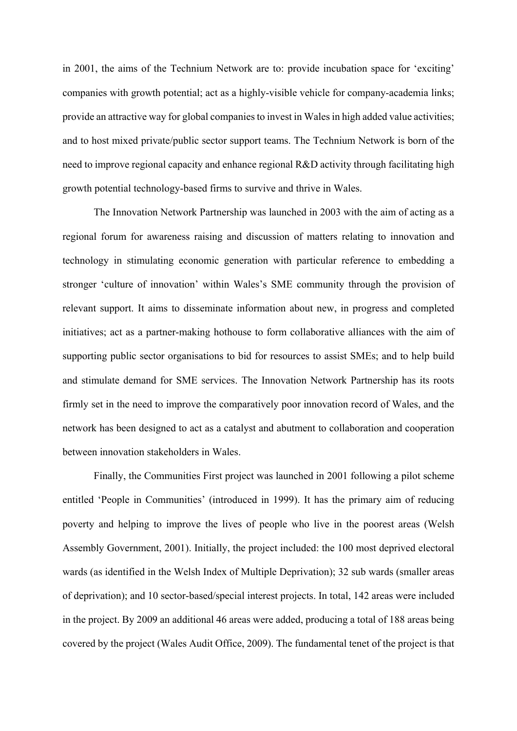in 2001, the aims of the Technium Network are to: provide incubation space for 'exciting' companies with growth potential; act as a highly-visible vehicle for company-academia links; provide an attractive way for global companies to invest in Wales in high added value activities; and to host mixed private/public sector support teams. The Technium Network is born of the need to improve regional capacity and enhance regional R&D activity through facilitating high growth potential technology-based firms to survive and thrive in Wales.

The Innovation Network Partnership was launched in 2003 with the aim of acting as a regional forum for awareness raising and discussion of matters relating to innovation and technology in stimulating economic generation with particular reference to embedding a stronger 'culture of innovation' within Wales's SME community through the provision of relevant support. It aims to disseminate information about new, in progress and completed initiatives; act as a partner-making hothouse to form collaborative alliances with the aim of supporting public sector organisations to bid for resources to assist SMEs; and to help build and stimulate demand for SME services. The Innovation Network Partnership has its roots firmly set in the need to improve the comparatively poor innovation record of Wales, and the network has been designed to act as a catalyst and abutment to collaboration and cooperation between innovation stakeholders in Wales.

Finally, the Communities First project was launched in 2001 following a pilot scheme entitled 'People in Communities' (introduced in 1999). It has the primary aim of reducing poverty and helping to improve the lives of people who live in the poorest areas (Welsh Assembly Government, 2001). Initially, the project included: the 100 most deprived electoral wards (as identified in the Welsh Index of Multiple Deprivation); 32 sub wards (smaller areas of deprivation); and 10 sector-based/special interest projects. In total, 142 areas were included in the project. By 2009 an additional 46 areas were added, producing a total of 188 areas being covered by the project (Wales Audit Office, 2009). The fundamental tenet of the project is that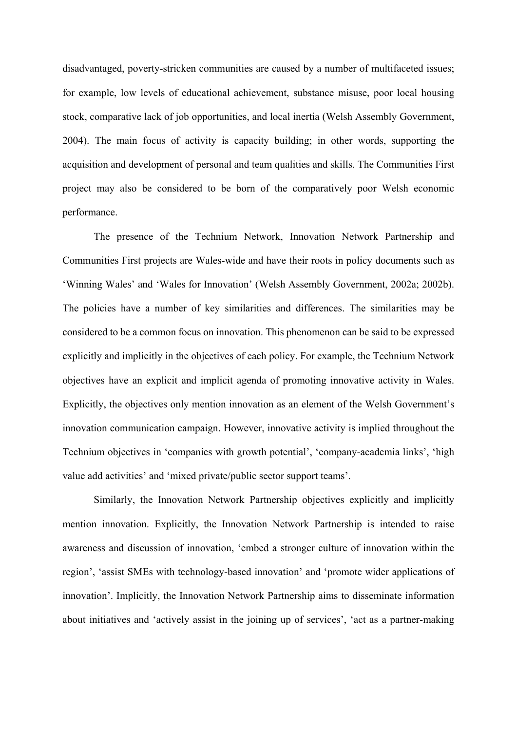disadvantaged, poverty-stricken communities are caused by a number of multifaceted issues; for example, low levels of educational achievement, substance misuse, poor local housing stock, comparative lack of job opportunities, and local inertia (Welsh Assembly Government, 2004). The main focus of activity is capacity building; in other words, supporting the acquisition and development of personal and team qualities and skills. The Communities First project may also be considered to be born of the comparatively poor Welsh economic performance.

The presence of the Technium Network, Innovation Network Partnership and Communities First projects are Wales-wide and have their roots in policy documents such as 'Winning Wales' and 'Wales for Innovation' (Welsh Assembly Government, 2002a; 2002b). The policies have a number of key similarities and differences. The similarities may be considered to be a common focus on innovation. This phenomenon can be said to be expressed explicitly and implicitly in the objectives of each policy. For example, the Technium Network objectives have an explicit and implicit agenda of promoting innovative activity in Wales. Explicitly, the objectives only mention innovation as an element of the Welsh Government's innovation communication campaign. However, innovative activity is implied throughout the Technium objectives in 'companies with growth potential', 'company-academia links', 'high value add activities' and 'mixed private/public sector support teams'.

Similarly, the Innovation Network Partnership objectives explicitly and implicitly mention innovation. Explicitly, the Innovation Network Partnership is intended to raise awareness and discussion of innovation, 'embed a stronger culture of innovation within the region', 'assist SMEs with technology-based innovation' and 'promote wider applications of innovation'. Implicitly, the Innovation Network Partnership aims to disseminate information about initiatives and 'actively assist in the joining up of services', 'act as a partner-making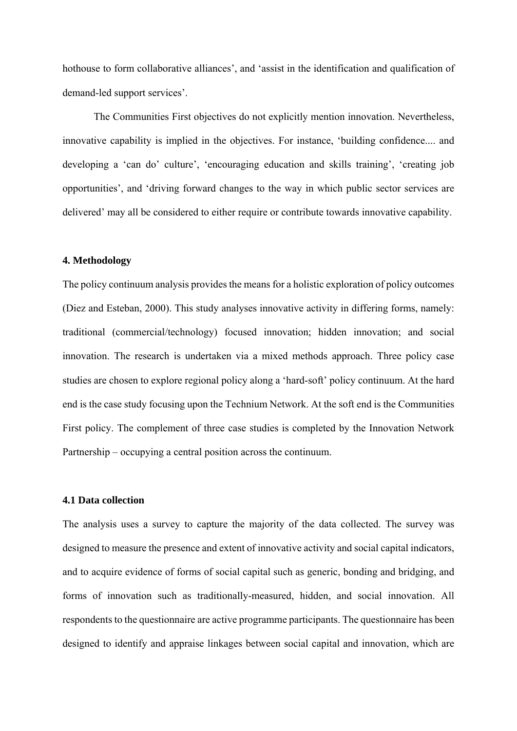hothouse to form collaborative alliances', and 'assist in the identification and qualification of demand-led support services'.

The Communities First objectives do not explicitly mention innovation. Nevertheless, innovative capability is implied in the objectives. For instance, 'building confidence.... and developing a 'can do' culture', 'encouraging education and skills training', 'creating job opportunities', and 'driving forward changes to the way in which public sector services are delivered' may all be considered to either require or contribute towards innovative capability.

### **4. Methodology**

The policy continuum analysis provides the means for a holistic exploration of policy outcomes (Diez and Esteban, 2000). This study analyses innovative activity in differing forms, namely: traditional (commercial/technology) focused innovation; hidden innovation; and social innovation. The research is undertaken via a mixed methods approach. Three policy case studies are chosen to explore regional policy along a 'hard-soft' policy continuum. At the hard end is the case study focusing upon the Technium Network. At the soft end is the Communities First policy. The complement of three case studies is completed by the Innovation Network Partnership – occupying a central position across the continuum.

#### **4.1 Data collection**

The analysis uses a survey to capture the majority of the data collected. The survey was designed to measure the presence and extent of innovative activity and social capital indicators, and to acquire evidence of forms of social capital such as generic, bonding and bridging, and forms of innovation such as traditionally-measured, hidden, and social innovation. All respondents to the questionnaire are active programme participants. The questionnaire has been designed to identify and appraise linkages between social capital and innovation, which are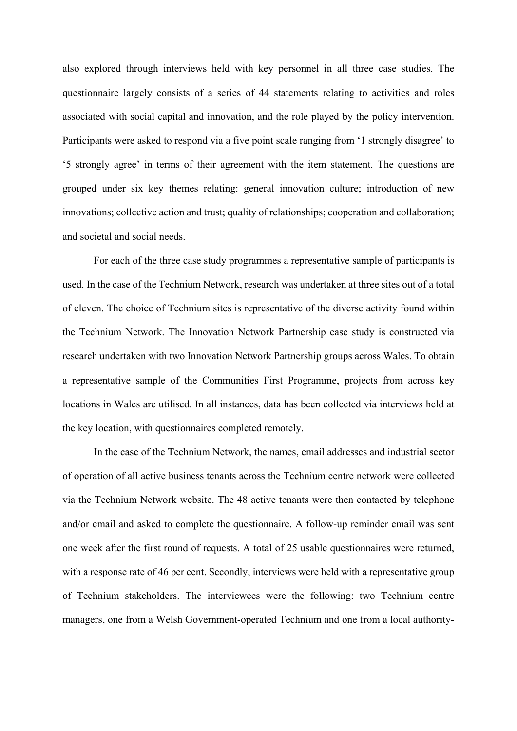also explored through interviews held with key personnel in all three case studies. The questionnaire largely consists of a series of 44 statements relating to activities and roles associated with social capital and innovation, and the role played by the policy intervention. Participants were asked to respond via a five point scale ranging from '1 strongly disagree' to '5 strongly agree' in terms of their agreement with the item statement. The questions are grouped under six key themes relating: general innovation culture; introduction of new innovations; collective action and trust; quality of relationships; cooperation and collaboration; and societal and social needs.

For each of the three case study programmes a representative sample of participants is used. In the case of the Technium Network, research was undertaken at three sites out of a total of eleven. The choice of Technium sites is representative of the diverse activity found within the Technium Network. The Innovation Network Partnership case study is constructed via research undertaken with two Innovation Network Partnership groups across Wales. To obtain a representative sample of the Communities First Programme, projects from across key locations in Wales are utilised. In all instances, data has been collected via interviews held at the key location, with questionnaires completed remotely.

In the case of the Technium Network, the names, email addresses and industrial sector of operation of all active business tenants across the Technium centre network were collected via the Technium Network website. The 48 active tenants were then contacted by telephone and/or email and asked to complete the questionnaire. A follow-up reminder email was sent one week after the first round of requests. A total of 25 usable questionnaires were returned, with a response rate of 46 per cent. Secondly, interviews were held with a representative group of Technium stakeholders. The interviewees were the following: two Technium centre managers, one from a Welsh Government-operated Technium and one from a local authority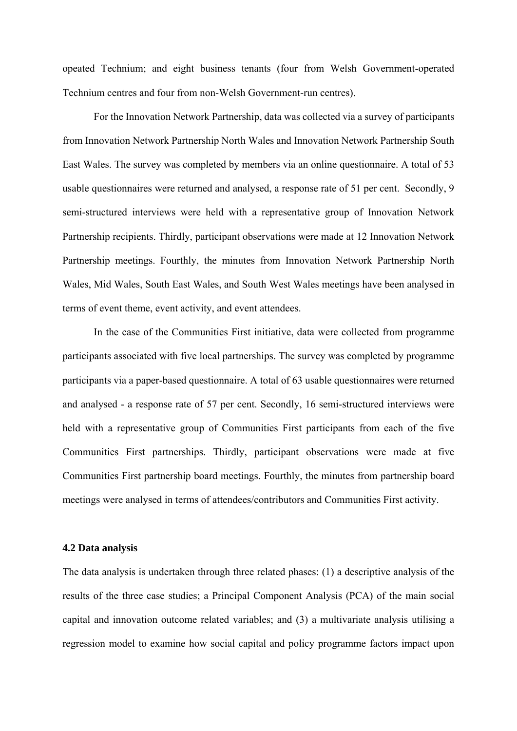opeated Technium; and eight business tenants (four from Welsh Government-operated Technium centres and four from non-Welsh Government-run centres).

For the Innovation Network Partnership, data was collected via a survey of participants from Innovation Network Partnership North Wales and Innovation Network Partnership South East Wales. The survey was completed by members via an online questionnaire. A total of 53 usable questionnaires were returned and analysed, a response rate of 51 per cent. Secondly, 9 semi-structured interviews were held with a representative group of Innovation Network Partnership recipients. Thirdly, participant observations were made at 12 Innovation Network Partnership meetings. Fourthly, the minutes from Innovation Network Partnership North Wales, Mid Wales, South East Wales, and South West Wales meetings have been analysed in terms of event theme, event activity, and event attendees.

In the case of the Communities First initiative, data were collected from programme participants associated with five local partnerships. The survey was completed by programme participants via a paper-based questionnaire. A total of 63 usable questionnaires were returned and analysed - a response rate of 57 per cent. Secondly, 16 semi-structured interviews were held with a representative group of Communities First participants from each of the five Communities First partnerships. Thirdly, participant observations were made at five Communities First partnership board meetings. Fourthly, the minutes from partnership board meetings were analysed in terms of attendees/contributors and Communities First activity.

#### **4.2 Data analysis**

The data analysis is undertaken through three related phases: (1) a descriptive analysis of the results of the three case studies; a Principal Component Analysis (PCA) of the main social capital and innovation outcome related variables; and (3) a multivariate analysis utilising a regression model to examine how social capital and policy programme factors impact upon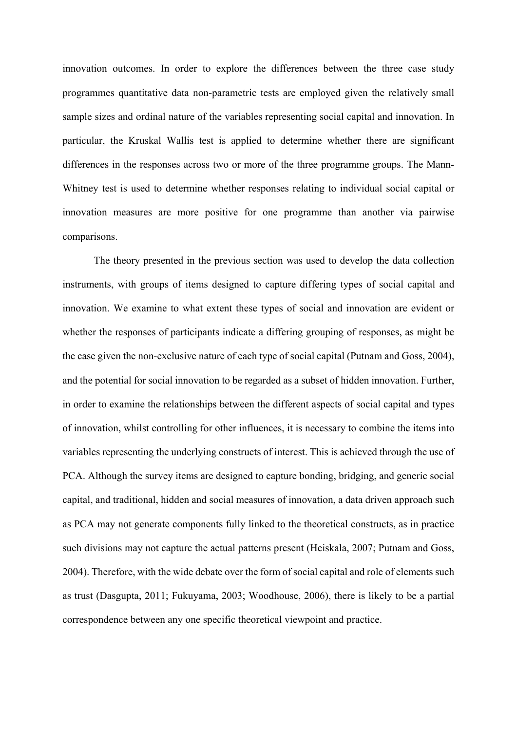innovation outcomes. In order to explore the differences between the three case study programmes quantitative data non-parametric tests are employed given the relatively small sample sizes and ordinal nature of the variables representing social capital and innovation. In particular, the Kruskal Wallis test is applied to determine whether there are significant differences in the responses across two or more of the three programme groups. The Mann-Whitney test is used to determine whether responses relating to individual social capital or innovation measures are more positive for one programme than another via pairwise comparisons.

The theory presented in the previous section was used to develop the data collection instruments, with groups of items designed to capture differing types of social capital and innovation. We examine to what extent these types of social and innovation are evident or whether the responses of participants indicate a differing grouping of responses, as might be the case given the non-exclusive nature of each type of social capital (Putnam and Goss, 2004), and the potential for social innovation to be regarded as a subset of hidden innovation. Further, in order to examine the relationships between the different aspects of social capital and types of innovation, whilst controlling for other influences, it is necessary to combine the items into variables representing the underlying constructs of interest. This is achieved through the use of PCA. Although the survey items are designed to capture bonding, bridging, and generic social capital, and traditional, hidden and social measures of innovation, a data driven approach such as PCA may not generate components fully linked to the theoretical constructs, as in practice such divisions may not capture the actual patterns present (Heiskala, 2007; Putnam and Goss, 2004). Therefore, with the wide debate over the form of social capital and role of elements such as trust (Dasgupta, 2011; Fukuyama, 2003; Woodhouse, 2006), there is likely to be a partial correspondence between any one specific theoretical viewpoint and practice.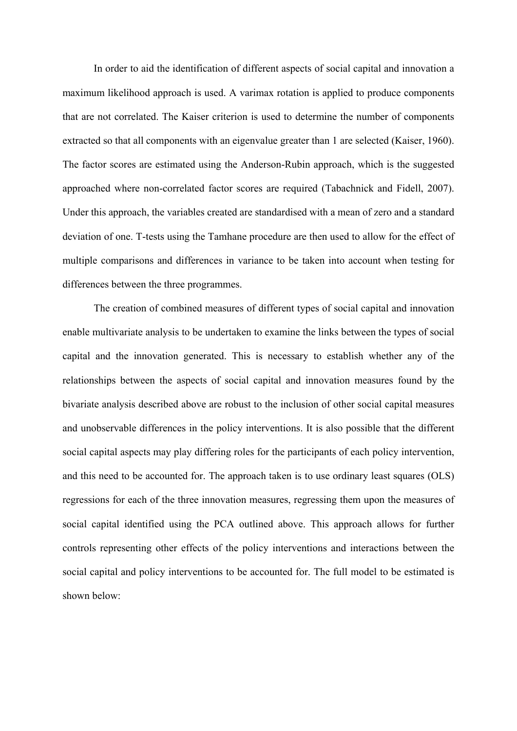In order to aid the identification of different aspects of social capital and innovation a maximum likelihood approach is used. A varimax rotation is applied to produce components that are not correlated. The Kaiser criterion is used to determine the number of components extracted so that all components with an eigenvalue greater than 1 are selected (Kaiser, 1960). The factor scores are estimated using the Anderson-Rubin approach, which is the suggested approached where non-correlated factor scores are required (Tabachnick and Fidell, 2007). Under this approach, the variables created are standardised with a mean of zero and a standard deviation of one. T-tests using the Tamhane procedure are then used to allow for the effect of multiple comparisons and differences in variance to be taken into account when testing for differences between the three programmes.

The creation of combined measures of different types of social capital and innovation enable multivariate analysis to be undertaken to examine the links between the types of social capital and the innovation generated. This is necessary to establish whether any of the relationships between the aspects of social capital and innovation measures found by the bivariate analysis described above are robust to the inclusion of other social capital measures and unobservable differences in the policy interventions. It is also possible that the different social capital aspects may play differing roles for the participants of each policy intervention, and this need to be accounted for. The approach taken is to use ordinary least squares (OLS) regressions for each of the three innovation measures, regressing them upon the measures of social capital identified using the PCA outlined above. This approach allows for further controls representing other effects of the policy interventions and interactions between the social capital and policy interventions to be accounted for. The full model to be estimated is shown below: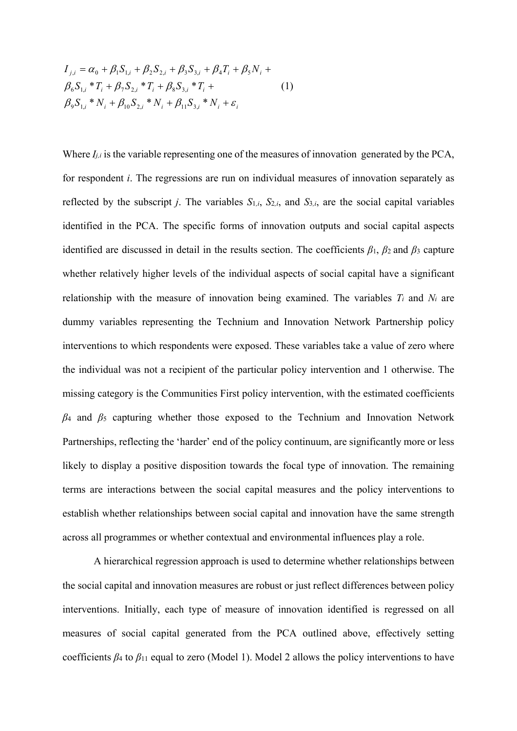$$
I_{j,i} = \alpha_0 + \beta_1 S_{1,i} + \beta_2 S_{2,i} + \beta_3 S_{3,i} + \beta_4 T_i + \beta_5 N_i +
$$
  
\n
$$
\beta_6 S_{1,i} * T_i + \beta_7 S_{2,i} * T_i + \beta_8 S_{3,i} * T_i +
$$
  
\n
$$
\beta_9 S_{1,i} * N_i + \beta_{10} S_{2,i} * N_i + \beta_{11} S_{3,i} * N_i + \varepsilon_i
$$
\n(1)

Where  $I_{j,i}$  is the variable representing one of the measures of innovation generated by the PCA, for respondent *i*. The regressions are run on individual measures of innovation separately as reflected by the subscript *j*. The variables  $S_{1,i}$ ,  $S_{2,i}$ , and  $S_{3,i}$ , are the social capital variables identified in the PCA. The specific forms of innovation outputs and social capital aspects identified are discussed in detail in the results section. The coefficients  $\beta_1$ ,  $\beta_2$  and  $\beta_3$  capture whether relatively higher levels of the individual aspects of social capital have a significant relationship with the measure of innovation being examined. The variables *Ti* and *Ni* are dummy variables representing the Technium and Innovation Network Partnership policy interventions to which respondents were exposed. These variables take a value of zero where the individual was not a recipient of the particular policy intervention and 1 otherwise. The missing category is the Communities First policy intervention, with the estimated coefficients *β*4 and *β*5 capturing whether those exposed to the Technium and Innovation Network Partnerships, reflecting the 'harder' end of the policy continuum, are significantly more or less likely to display a positive disposition towards the focal type of innovation. The remaining terms are interactions between the social capital measures and the policy interventions to establish whether relationships between social capital and innovation have the same strength across all programmes or whether contextual and environmental influences play a role.

A hierarchical regression approach is used to determine whether relationships between the social capital and innovation measures are robust or just reflect differences between policy interventions. Initially, each type of measure of innovation identified is regressed on all measures of social capital generated from the PCA outlined above, effectively setting coefficients  $\beta_4$  to  $\beta_{11}$  equal to zero (Model 1). Model 2 allows the policy interventions to have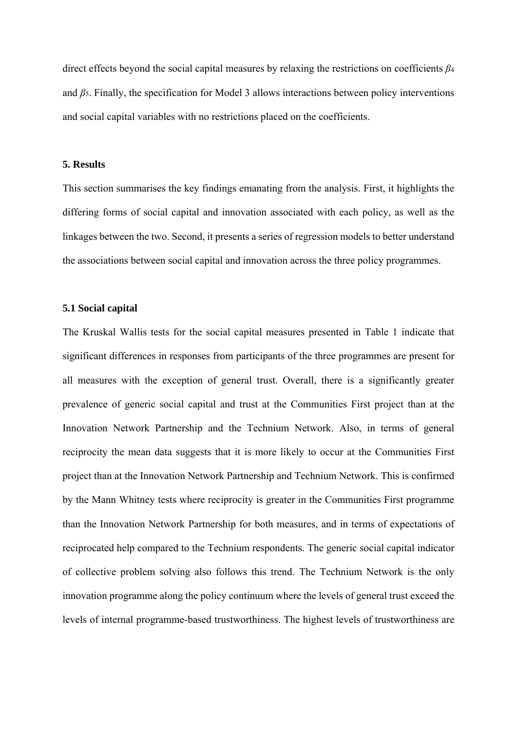direct effects beyond the social capital measures by relaxing the restrictions on coefficients *β*<sup>4</sup> and *β*5. Finally, the specification for Model 3 allows interactions between policy interventions and social capital variables with no restrictions placed on the coefficients.

### **5. Results**

This section summarises the key findings emanating from the analysis. First, it highlights the differing forms of social capital and innovation associated with each policy, as well as the linkages between the two. Second, it presents a series of regression models to better understand the associations between social capital and innovation across the three policy programmes.

# **5.1 Social capital**

The Kruskal Wallis tests for the social capital measures presented in Table 1 indicate that significant differences in responses from participants of the three programmes are present for all measures with the exception of general trust. Overall, there is a significantly greater prevalence of generic social capital and trust at the Communities First project than at the Innovation Network Partnership and the Technium Network. Also, in terms of general reciprocity the mean data suggests that it is more likely to occur at the Communities First project than at the Innovation Network Partnership and Technium Network. This is confirmed by the Mann Whitney tests where reciprocity is greater in the Communities First programme than the Innovation Network Partnership for both measures, and in terms of expectations of reciprocated help compared to the Technium respondents. The generic social capital indicator of collective problem solving also follows this trend. The Technium Network is the only innovation programme along the policy continuum where the levels of general trust exceed the levels of internal programme-based trustworthiness. The highest levels of trustworthiness are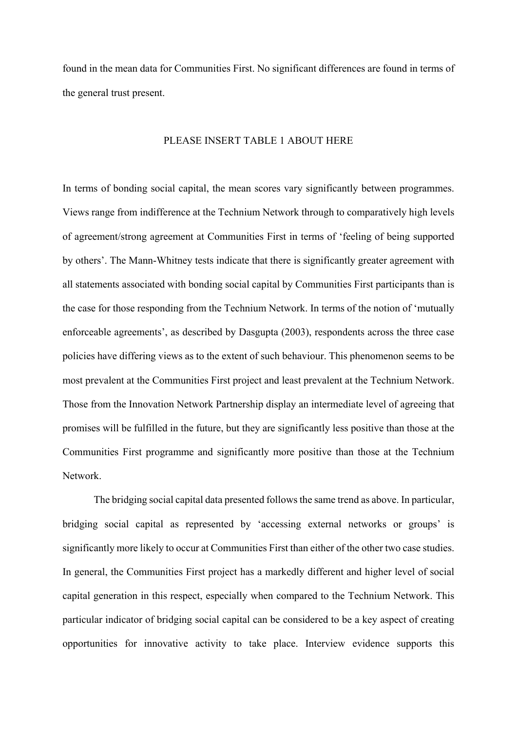found in the mean data for Communities First. No significant differences are found in terms of the general trust present.

# PLEASE INSERT TABLE 1 ABOUT HERE

In terms of bonding social capital, the mean scores vary significantly between programmes. Views range from indifference at the Technium Network through to comparatively high levels of agreement/strong agreement at Communities First in terms of 'feeling of being supported by others'. The Mann-Whitney tests indicate that there is significantly greater agreement with all statements associated with bonding social capital by Communities First participants than is the case for those responding from the Technium Network. In terms of the notion of 'mutually enforceable agreements', as described by Dasgupta (2003), respondents across the three case policies have differing views as to the extent of such behaviour. This phenomenon seems to be most prevalent at the Communities First project and least prevalent at the Technium Network. Those from the Innovation Network Partnership display an intermediate level of agreeing that promises will be fulfilled in the future, but they are significantly less positive than those at the Communities First programme and significantly more positive than those at the Technium Network.

The bridging social capital data presented follows the same trend as above. In particular, bridging social capital as represented by 'accessing external networks or groups' is significantly more likely to occur at Communities First than either of the other two case studies. In general, the Communities First project has a markedly different and higher level of social capital generation in this respect, especially when compared to the Technium Network. This particular indicator of bridging social capital can be considered to be a key aspect of creating opportunities for innovative activity to take place. Interview evidence supports this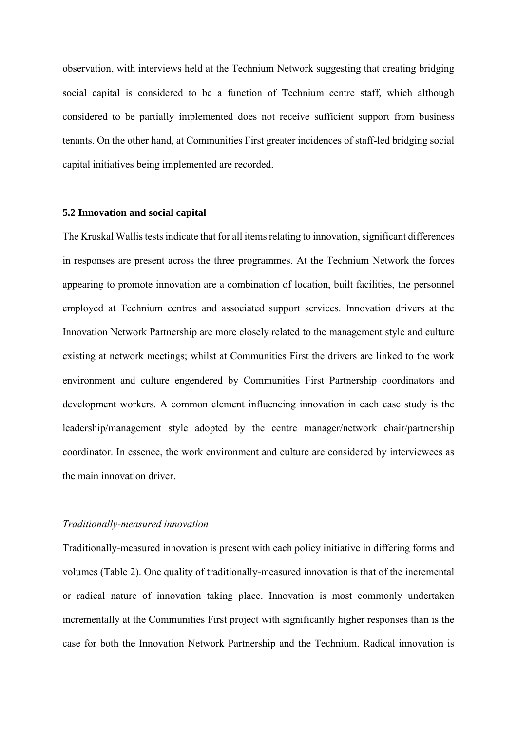observation, with interviews held at the Technium Network suggesting that creating bridging social capital is considered to be a function of Technium centre staff, which although considered to be partially implemented does not receive sufficient support from business tenants. On the other hand, at Communities First greater incidences of staff-led bridging social capital initiatives being implemented are recorded.

### **5.2 Innovation and social capital**

The Kruskal Wallis tests indicate that for all items relating to innovation, significant differences in responses are present across the three programmes. At the Technium Network the forces appearing to promote innovation are a combination of location, built facilities, the personnel employed at Technium centres and associated support services. Innovation drivers at the Innovation Network Partnership are more closely related to the management style and culture existing at network meetings; whilst at Communities First the drivers are linked to the work environment and culture engendered by Communities First Partnership coordinators and development workers. A common element influencing innovation in each case study is the leadership/management style adopted by the centre manager/network chair/partnership coordinator. In essence, the work environment and culture are considered by interviewees as the main innovation driver.

#### *Traditionally-measured innovation*

Traditionally-measured innovation is present with each policy initiative in differing forms and volumes (Table 2). One quality of traditionally-measured innovation is that of the incremental or radical nature of innovation taking place. Innovation is most commonly undertaken incrementally at the Communities First project with significantly higher responses than is the case for both the Innovation Network Partnership and the Technium. Radical innovation is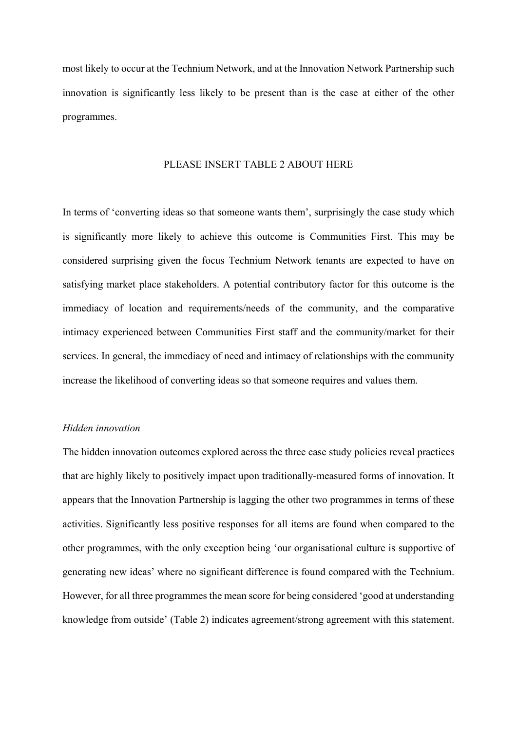most likely to occur at the Technium Network, and at the Innovation Network Partnership such innovation is significantly less likely to be present than is the case at either of the other programmes.

#### PLEASE INSERT TABLE 2 ABOUT HERE

In terms of 'converting ideas so that someone wants them', surprisingly the case study which is significantly more likely to achieve this outcome is Communities First. This may be considered surprising given the focus Technium Network tenants are expected to have on satisfying market place stakeholders. A potential contributory factor for this outcome is the immediacy of location and requirements/needs of the community, and the comparative intimacy experienced between Communities First staff and the community/market for their services. In general, the immediacy of need and intimacy of relationships with the community increase the likelihood of converting ideas so that someone requires and values them.

### *Hidden innovation*

The hidden innovation outcomes explored across the three case study policies reveal practices that are highly likely to positively impact upon traditionally-measured forms of innovation. It appears that the Innovation Partnership is lagging the other two programmes in terms of these activities. Significantly less positive responses for all items are found when compared to the other programmes, with the only exception being 'our organisational culture is supportive of generating new ideas' where no significant difference is found compared with the Technium. However, for all three programmes the mean score for being considered 'good at understanding knowledge from outside' (Table 2) indicates agreement/strong agreement with this statement.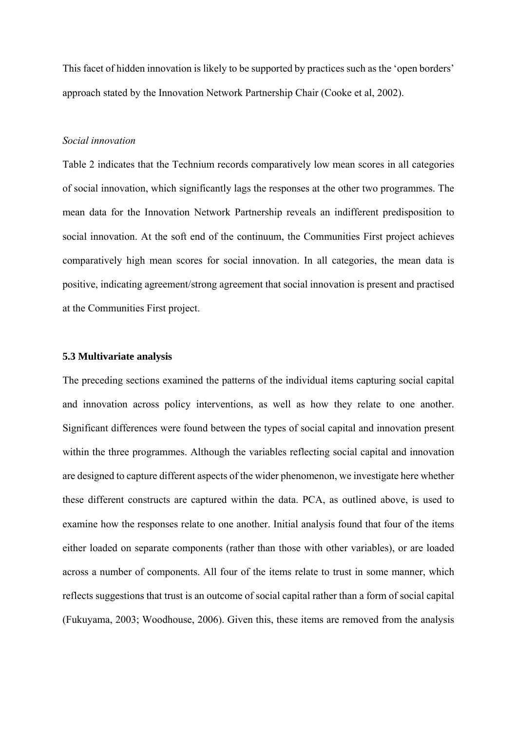This facet of hidden innovation is likely to be supported by practices such as the 'open borders' approach stated by the Innovation Network Partnership Chair (Cooke et al, 2002).

### *Social innovation*

Table 2 indicates that the Technium records comparatively low mean scores in all categories of social innovation, which significantly lags the responses at the other two programmes. The mean data for the Innovation Network Partnership reveals an indifferent predisposition to social innovation. At the soft end of the continuum, the Communities First project achieves comparatively high mean scores for social innovation. In all categories, the mean data is positive, indicating agreement/strong agreement that social innovation is present and practised at the Communities First project.

# **5.3 Multivariate analysis**

The preceding sections examined the patterns of the individual items capturing social capital and innovation across policy interventions, as well as how they relate to one another. Significant differences were found between the types of social capital and innovation present within the three programmes. Although the variables reflecting social capital and innovation are designed to capture different aspects of the wider phenomenon, we investigate here whether these different constructs are captured within the data. PCA, as outlined above, is used to examine how the responses relate to one another. Initial analysis found that four of the items either loaded on separate components (rather than those with other variables), or are loaded across a number of components. All four of the items relate to trust in some manner, which reflects suggestions that trust is an outcome of social capital rather than a form of social capital (Fukuyama, 2003; Woodhouse, 2006). Given this, these items are removed from the analysis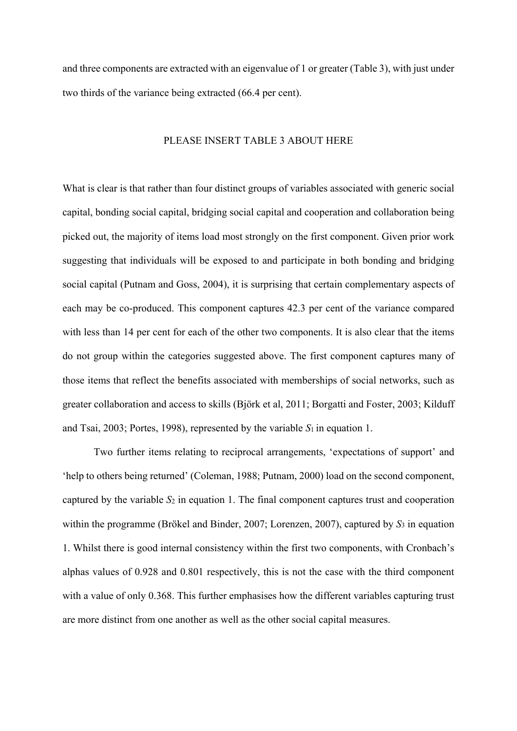and three components are extracted with an eigenvalue of 1 or greater (Table 3), with just under two thirds of the variance being extracted (66.4 per cent).

# PLEASE INSERT TABLE 3 ABOUT HERE

What is clear is that rather than four distinct groups of variables associated with generic social capital, bonding social capital, bridging social capital and cooperation and collaboration being picked out, the majority of items load most strongly on the first component. Given prior work suggesting that individuals will be exposed to and participate in both bonding and bridging social capital (Putnam and Goss, 2004), it is surprising that certain complementary aspects of each may be co-produced. This component captures 42.3 per cent of the variance compared with less than 14 per cent for each of the other two components. It is also clear that the items do not group within the categories suggested above. The first component captures many of those items that reflect the benefits associated with memberships of social networks, such as greater collaboration and access to skills (Björk et al, 2011; Borgatti and Foster, 2003; Kilduff and Tsai, 2003; Portes, 1998), represented by the variable  $S_1$  in equation 1.

Two further items relating to reciprocal arrangements, 'expectations of support' and 'help to others being returned' (Coleman, 1988; Putnam, 2000) load on the second component, captured by the variable *S*2 in equation 1. The final component captures trust and cooperation within the programme (Brökel and Binder, 2007; Lorenzen, 2007), captured by *S*3 in equation 1. Whilst there is good internal consistency within the first two components, with Cronbach's alphas values of 0.928 and 0.801 respectively, this is not the case with the third component with a value of only 0.368. This further emphasises how the different variables capturing trust are more distinct from one another as well as the other social capital measures.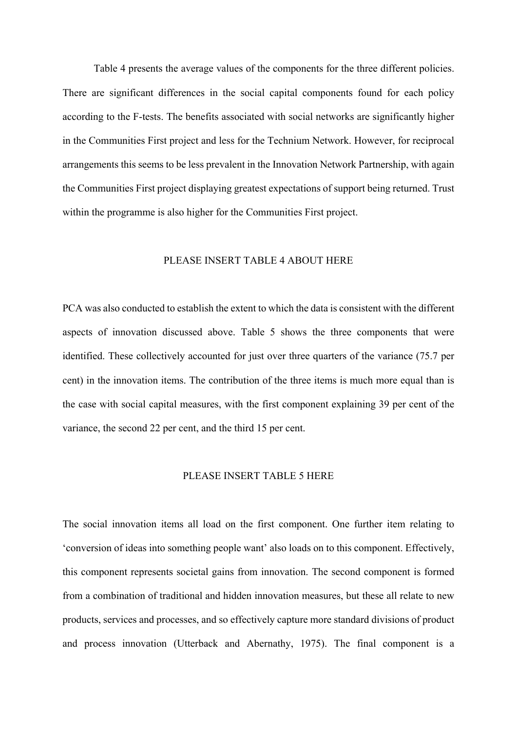Table 4 presents the average values of the components for the three different policies. There are significant differences in the social capital components found for each policy according to the F-tests. The benefits associated with social networks are significantly higher in the Communities First project and less for the Technium Network. However, for reciprocal arrangements this seems to be less prevalent in the Innovation Network Partnership, with again the Communities First project displaying greatest expectations of support being returned. Trust within the programme is also higher for the Communities First project.

### PLEASE INSERT TABLE 4 ABOUT HERE

PCA was also conducted to establish the extent to which the data is consistent with the different aspects of innovation discussed above. Table 5 shows the three components that were identified. These collectively accounted for just over three quarters of the variance (75.7 per cent) in the innovation items. The contribution of the three items is much more equal than is the case with social capital measures, with the first component explaining 39 per cent of the variance, the second 22 per cent, and the third 15 per cent.

### PLEASE INSERT TABLE 5 HERE

The social innovation items all load on the first component. One further item relating to 'conversion of ideas into something people want' also loads on to this component. Effectively, this component represents societal gains from innovation. The second component is formed from a combination of traditional and hidden innovation measures, but these all relate to new products, services and processes, and so effectively capture more standard divisions of product and process innovation (Utterback and Abernathy, 1975). The final component is a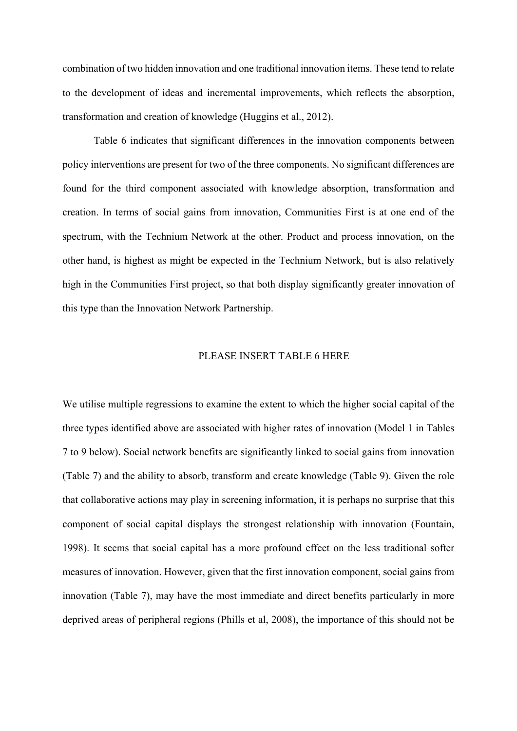combination of two hidden innovation and one traditional innovation items. These tend to relate to the development of ideas and incremental improvements, which reflects the absorption, transformation and creation of knowledge (Huggins et al., 2012).

Table 6 indicates that significant differences in the innovation components between policy interventions are present for two of the three components. No significant differences are found for the third component associated with knowledge absorption, transformation and creation. In terms of social gains from innovation, Communities First is at one end of the spectrum, with the Technium Network at the other. Product and process innovation, on the other hand, is highest as might be expected in the Technium Network, but is also relatively high in the Communities First project, so that both display significantly greater innovation of this type than the Innovation Network Partnership.

### PLEASE INSERT TABLE 6 HERE

We utilise multiple regressions to examine the extent to which the higher social capital of the three types identified above are associated with higher rates of innovation (Model 1 in Tables 7 to 9 below). Social network benefits are significantly linked to social gains from innovation (Table 7) and the ability to absorb, transform and create knowledge (Table 9). Given the role that collaborative actions may play in screening information, it is perhaps no surprise that this component of social capital displays the strongest relationship with innovation (Fountain, 1998). It seems that social capital has a more profound effect on the less traditional softer measures of innovation. However, given that the first innovation component, social gains from innovation (Table 7), may have the most immediate and direct benefits particularly in more deprived areas of peripheral regions (Phills et al, 2008), the importance of this should not be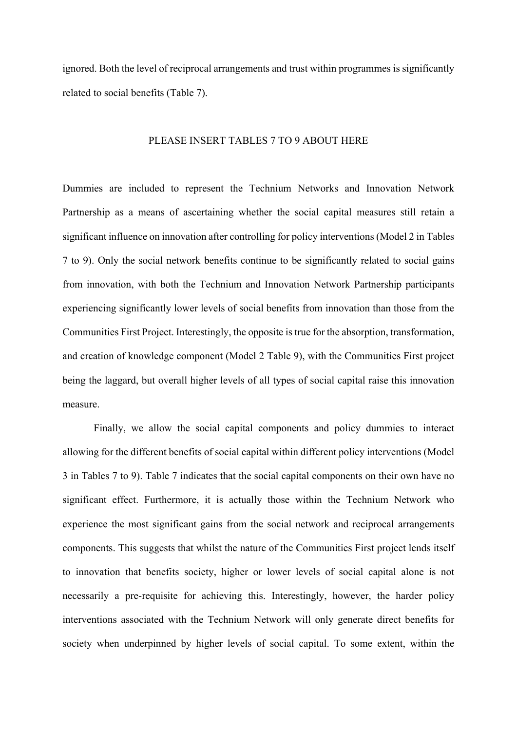ignored. Both the level of reciprocal arrangements and trust within programmes is significantly related to social benefits (Table 7).

### PLEASE INSERT TABLES 7 TO 9 ABOUT HERE

Dummies are included to represent the Technium Networks and Innovation Network Partnership as a means of ascertaining whether the social capital measures still retain a significant influence on innovation after controlling for policy interventions (Model 2 in Tables 7 to 9). Only the social network benefits continue to be significantly related to social gains from innovation, with both the Technium and Innovation Network Partnership participants experiencing significantly lower levels of social benefits from innovation than those from the Communities First Project. Interestingly, the opposite is true for the absorption, transformation, and creation of knowledge component (Model 2 Table 9), with the Communities First project being the laggard, but overall higher levels of all types of social capital raise this innovation measure.

 Finally, we allow the social capital components and policy dummies to interact allowing for the different benefits of social capital within different policy interventions (Model 3 in Tables 7 to 9). Table 7 indicates that the social capital components on their own have no significant effect. Furthermore, it is actually those within the Technium Network who experience the most significant gains from the social network and reciprocal arrangements components. This suggests that whilst the nature of the Communities First project lends itself to innovation that benefits society, higher or lower levels of social capital alone is not necessarily a pre-requisite for achieving this. Interestingly, however, the harder policy interventions associated with the Technium Network will only generate direct benefits for society when underpinned by higher levels of social capital. To some extent, within the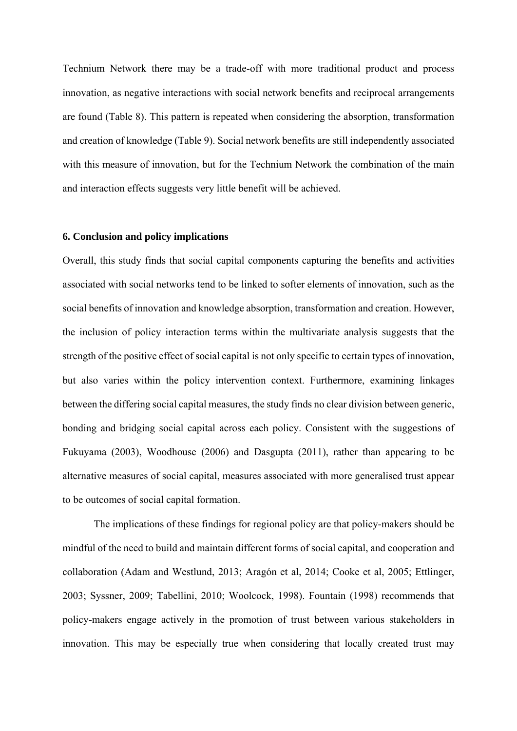Technium Network there may be a trade-off with more traditional product and process innovation, as negative interactions with social network benefits and reciprocal arrangements are found (Table 8). This pattern is repeated when considering the absorption, transformation and creation of knowledge (Table 9). Social network benefits are still independently associated with this measure of innovation, but for the Technium Network the combination of the main and interaction effects suggests very little benefit will be achieved.

### **6. Conclusion and policy implications**

Overall, this study finds that social capital components capturing the benefits and activities associated with social networks tend to be linked to softer elements of innovation, such as the social benefits of innovation and knowledge absorption, transformation and creation. However, the inclusion of policy interaction terms within the multivariate analysis suggests that the strength of the positive effect of social capital is not only specific to certain types of innovation, but also varies within the policy intervention context. Furthermore, examining linkages between the differing social capital measures, the study finds no clear division between generic, bonding and bridging social capital across each policy. Consistent with the suggestions of Fukuyama (2003), Woodhouse (2006) and Dasgupta (2011), rather than appearing to be alternative measures of social capital, measures associated with more generalised trust appear to be outcomes of social capital formation.

The implications of these findings for regional policy are that policy-makers should be mindful of the need to build and maintain different forms of social capital, and cooperation and collaboration (Adam and Westlund, 2013; Aragón et al, 2014; Cooke et al, 2005; Ettlinger, 2003; Syssner, 2009; Tabellini, 2010; Woolcock, 1998). Fountain (1998) recommends that policy-makers engage actively in the promotion of trust between various stakeholders in innovation. This may be especially true when considering that locally created trust may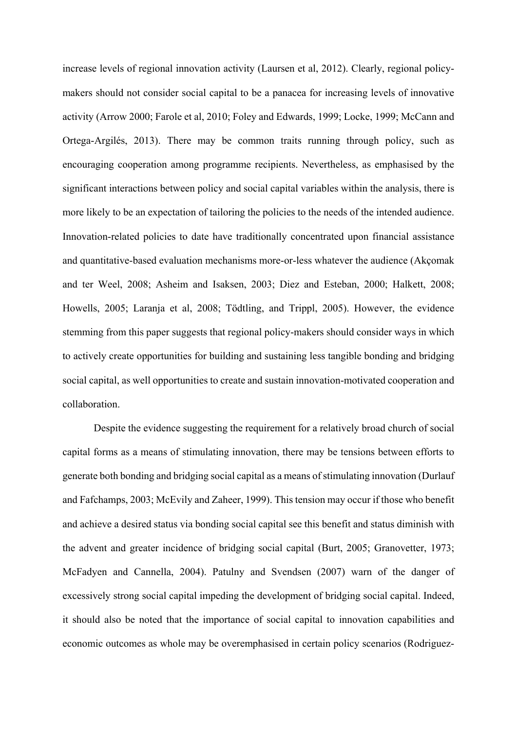increase levels of regional innovation activity (Laursen et al, 2012). Clearly, regional policymakers should not consider social capital to be a panacea for increasing levels of innovative activity (Arrow 2000; Farole et al, 2010; Foley and Edwards, 1999; Locke, 1999; McCann and Ortega-Argilés, 2013). There may be common traits running through policy, such as encouraging cooperation among programme recipients. Nevertheless, as emphasised by the significant interactions between policy and social capital variables within the analysis, there is more likely to be an expectation of tailoring the policies to the needs of the intended audience. Innovation-related policies to date have traditionally concentrated upon financial assistance and quantitative-based evaluation mechanisms more-or-less whatever the audience (Akçomak and ter Weel, 2008; Asheim and Isaksen, 2003; Diez and Esteban, 2000; Halkett, 2008; Howells, 2005; Laranja et al, 2008; Tödtling, and Trippl, 2005). However, the evidence stemming from this paper suggests that regional policy-makers should consider ways in which to actively create opportunities for building and sustaining less tangible bonding and bridging social capital, as well opportunities to create and sustain innovation-motivated cooperation and collaboration.

Despite the evidence suggesting the requirement for a relatively broad church of social capital forms as a means of stimulating innovation, there may be tensions between efforts to generate both bonding and bridging social capital as a means of stimulating innovation (Durlauf and Fafchamps, 2003; McEvily and Zaheer, 1999). This tension may occur if those who benefit and achieve a desired status via bonding social capital see this benefit and status diminish with the advent and greater incidence of bridging social capital (Burt, 2005; Granovetter, 1973; McFadyen and Cannella, 2004). Patulny and Svendsen (2007) warn of the danger of excessively strong social capital impeding the development of bridging social capital. Indeed, it should also be noted that the importance of social capital to innovation capabilities and economic outcomes as whole may be overemphasised in certain policy scenarios (Rodriguez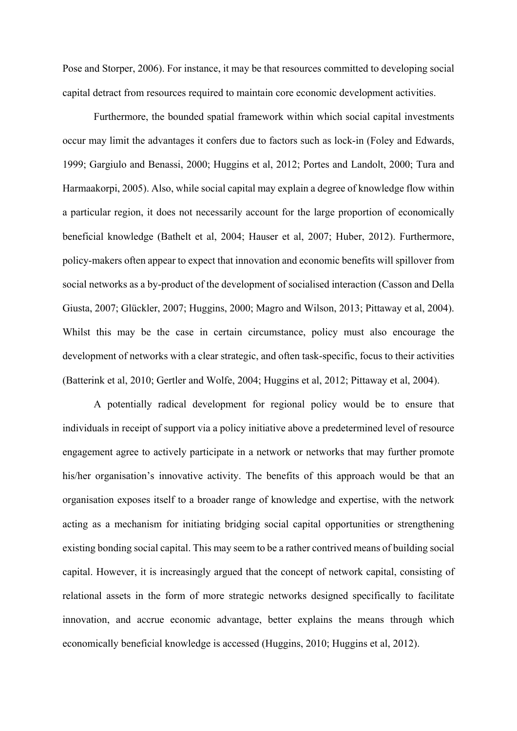Pose and Storper, 2006). For instance, it may be that resources committed to developing social capital detract from resources required to maintain core economic development activities.

Furthermore, the bounded spatial framework within which social capital investments occur may limit the advantages it confers due to factors such as lock-in (Foley and Edwards, 1999; Gargiulo and Benassi, 2000; Huggins et al, 2012; Portes and Landolt, 2000; Tura and Harmaakorpi, 2005). Also, while social capital may explain a degree of knowledge flow within a particular region, it does not necessarily account for the large proportion of economically beneficial knowledge (Bathelt et al, 2004; Hauser et al, 2007; Huber, 2012). Furthermore, policy-makers often appear to expect that innovation and economic benefits will spillover from social networks as a by-product of the development of socialised interaction (Casson and Della Giusta, 2007; Glückler, 2007; Huggins, 2000; Magro and Wilson, 2013; Pittaway et al, 2004). Whilst this may be the case in certain circumstance, policy must also encourage the development of networks with a clear strategic, and often task-specific, focus to their activities (Batterink et al, 2010; Gertler and Wolfe, 2004; Huggins et al, 2012; Pittaway et al, 2004).

A potentially radical development for regional policy would be to ensure that individuals in receipt of support via a policy initiative above a predetermined level of resource engagement agree to actively participate in a network or networks that may further promote his/her organisation's innovative activity. The benefits of this approach would be that an organisation exposes itself to a broader range of knowledge and expertise, with the network acting as a mechanism for initiating bridging social capital opportunities or strengthening existing bonding social capital. This may seem to be a rather contrived means of building social capital. However, it is increasingly argued that the concept of network capital, consisting of relational assets in the form of more strategic networks designed specifically to facilitate innovation, and accrue economic advantage, better explains the means through which economically beneficial knowledge is accessed (Huggins, 2010; Huggins et al, 2012).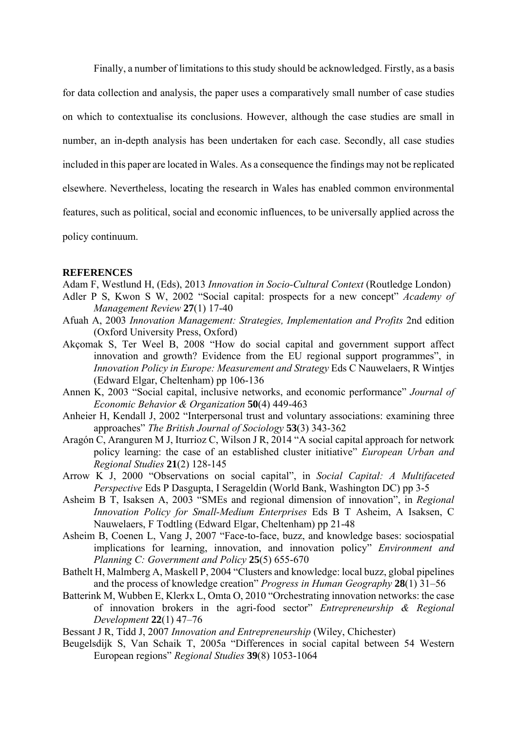Finally, a number of limitations to this study should be acknowledged. Firstly, as a basis for data collection and analysis, the paper uses a comparatively small number of case studies on which to contextualise its conclusions. However, although the case studies are small in number, an in-depth analysis has been undertaken for each case. Secondly, all case studies included in this paper are located in Wales. As a consequence the findings may not be replicated elsewhere. Nevertheless, locating the research in Wales has enabled common environmental features, such as political, social and economic influences, to be universally applied across the policy continuum.

### **REFERENCES**

- Adam F, Westlund H, (Eds), 2013 *Innovation in Socio-Cultural Context* (Routledge London)
- Adler P S, Kwon S W, 2002 "Social capital: prospects for a new concept" *Academy of Management Review* **27**(1) 17-40
- Afuah A, 2003 *Innovation Management: Strategies, Implementation and Profits* 2nd edition (Oxford University Press, Oxford)
- Akçomak S, Ter Weel B, 2008 "How do social capital and government support affect innovation and growth? Evidence from the EU regional support programmes", in *Innovation Policy in Europe: Measurement and Strategy* Eds C Nauwelaers, R Wintjes (Edward Elgar, Cheltenham) pp 106-136
- Annen K, 2003 "Social capital, inclusive networks, and economic performance" *Journal of Economic Behavior & Organization* **50**(4) 449-463
- Anheier H, Kendall J, 2002 "Interpersonal trust and voluntary associations: examining three approaches" *The British Journal of Sociology* **53**(3) 343-362
- Aragón C, Aranguren M J, Iturrioz C, Wilson J R, 2014 "A social capital approach for network policy learning: the case of an established cluster initiative" *European Urban and Regional Studies* **21**(2) 128-145
- Arrow K J, 2000 "Observations on social capital", in *Social Capital: A Multifaceted Perspective* Eds P Dasgupta, I Serageldin (World Bank, Washington DC) pp 3-5
- Asheim B T, Isaksen A, 2003 "SMEs and regional dimension of innovation", in *Regional Innovation Policy for Small-Medium Enterprises* Eds B T Asheim, A Isaksen, C Nauwelaers, F Todtling (Edward Elgar, Cheltenham) pp 21-48
- Asheim B, Coenen L, Vang J, 2007 "Face-to-face, buzz, and knowledge bases: sociospatial implications for learning, innovation, and innovation policy" *Environment and Planning C: Government and Policy* **25**(5) 655-670
- Bathelt H, Malmberg A, Maskell P, 2004 "Clusters and knowledge: local buzz, global pipelines and the process of knowledge creation" *Progress in Human Geography* **28**(1) 31–56
- Batterink M, Wubben E, Klerkx L, Omta O, 2010 "Orchestrating innovation networks: the case of innovation brokers in the agri-food sector" *Entrepreneurship & Regional Development* **22**(1) 47–76

Bessant J R, Tidd J, 2007 *Innovation and Entrepreneurship* (Wiley, Chichester)

Beugelsdijk S, Van Schaik T, 2005a "Differences in social capital between 54 Western European regions" *Regional Studies* **39**(8) 1053-1064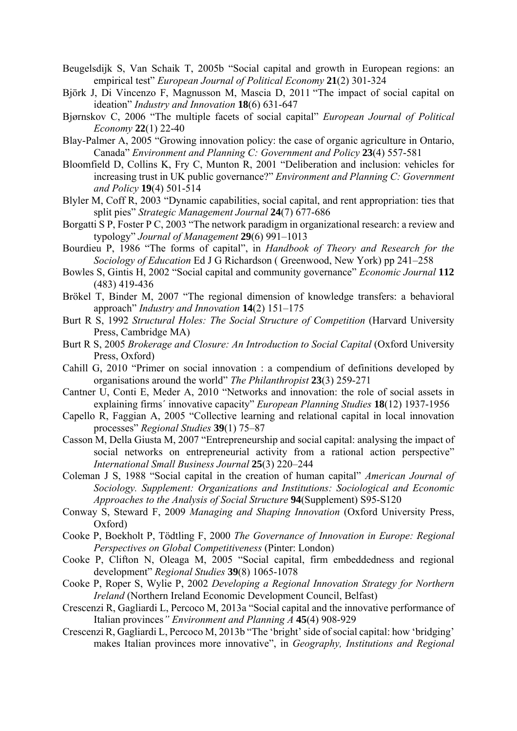- Beugelsdijk S, Van Schaik T, 2005b "Social capital and growth in European regions: an empirical test" *European Journal of Political Economy* **21**(2) 301-324
- Björk J, Di Vincenzo F, Magnusson M, Mascia D, 2011 "The impact of social capital on ideation" *Industry and Innovation* **18**(6) 631-647
- Bjørnskov C, 2006 "The multiple facets of social capital" *European Journal of Political Economy* **22**(1) 22-40
- Blay-Palmer A, 2005 "Growing innovation policy: the case of organic agriculture in Ontario, Canada" *Environment and Planning C: Government and Policy* **23**(4) 557-581
- Bloomfield D, Collins K, Fry C, Munton R, 2001 "Deliberation and inclusion: vehicles for increasing trust in UK public governance?" *Environment and Planning C: Government and Policy* **19**(4) 501-514
- Blyler M, Coff R, 2003 "Dynamic capabilities, social capital, and rent appropriation: ties that split pies" *Strategic Management Journal* **24**(7) 677-686
- Borgatti S P, Foster P C, 2003 "The network paradigm in organizational research: a review and typology" *Journal of Management* **29**(6) 991–1013
- Bourdieu P, 1986 "The forms of capital", in *Handbook of Theory and Research for the Sociology of Education* Ed J G Richardson ( Greenwood, New York) pp 241–258
- Bowles S, Gintis H, 2002 "Social capital and community governance" *Economic Journal* **112** (483) 419-436
- Brökel T, Binder M, 2007 "The regional dimension of knowledge transfers: a behavioral approach" *Industry and Innovation* **14**(2) 151–175
- Burt R S, 1992 *Structural Holes: The Social Structure of Competition* (Harvard University Press, Cambridge MA)
- Burt R S, 2005 *Brokerage and Closure: An Introduction to Social Capital* (Oxford University Press, Oxford)
- Cahill G, 2010 "Primer on social innovation : a compendium of definitions developed by organisations around the world" *The Philanthropist* **23**(3) 259-271
- Cantner U, Conti E, Meder A, 2010 "Networks and innovation: the role of social assets in explaining firms´ innovative capacity" *European Planning Studies* **18**(12) 1937-1956
- Capello R, Faggian A, 2005 "Collective learning and relational capital in local innovation processes" *Regional Studies* **39**(1) 75–87
- Casson M, Della Giusta M, 2007 "Entrepreneurship and social capital: analysing the impact of social networks on entrepreneurial activity from a rational action perspective" *International Small Business Journal* **25**(3) 220–244
- Coleman J S, 1988 "Social capital in the creation of human capital" *American Journal of Sociology. Supplement: Organizations and Institutions: Sociological and Economic Approaches to the Analysis of Social Structure* **94**(Supplement) S95-S120
- Conway S, Steward F, 2009 *Managing and Shaping Innovation* (Oxford University Press, Oxford)
- Cooke P, Boekholt P, Tödtling F, 2000 *The Governance of Innovation in Europe: Regional Perspectives on Global Competitiveness* (Pinter: London)
- Cooke P, Clifton N, Oleaga M, 2005 "Social capital, firm embeddedness and regional development" *Regional Studies* **39**(8) 1065-1078
- Cooke P, Roper S, Wylie P, 2002 *Developing a Regional Innovation Strategy for Northern Ireland* (Northern Ireland Economic Development Council, Belfast)
- Crescenzi R, Gagliardi L, Percoco M, 2013a "Social capital and the innovative performance of Italian provinces*" Environment and Planning A* **45**(4) 908-929
- Crescenzi R, Gagliardi L, Percoco M, 2013b "The 'bright' side of social capital: how 'bridging' makes Italian provinces more innovative", in *Geography, Institutions and Regional*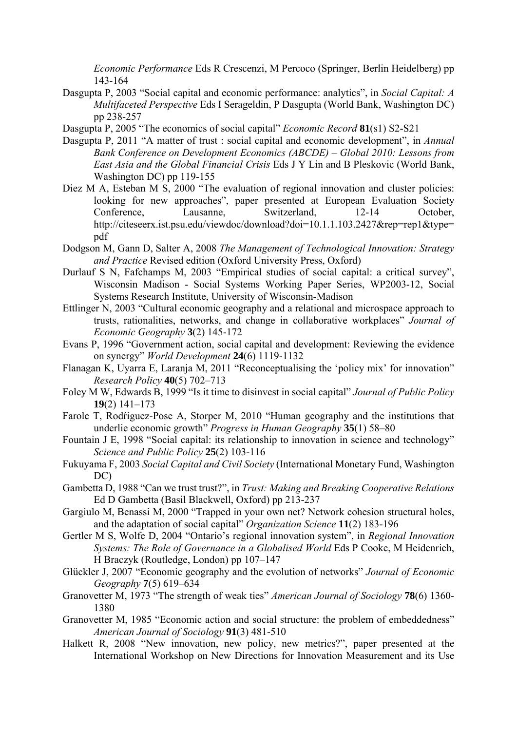*Economic Performance* Eds R Crescenzi, M Percoco (Springer, Berlin Heidelberg) pp 143-164

- Dasgupta P, 2003 "Social capital and economic performance: analytics", in *Social Capital: A Multifaceted Perspective* Eds I Serageldin, P Dasgupta (World Bank, Washington DC) pp 238-257
- Dasgupta P, 2005 "The economics of social capital" *Economic Record* **81**(s1) S2-S21
- Dasgupta P, 2011 "A matter of trust : social capital and economic development", in *Annual Bank Conference on Development Economics (ABCDE) – Global 2010: Lessons from East Asia and the Global Financial Crisis* Eds J Y Lin and B Pleskovic (World Bank, Washington DC) pp 119-155
- Diez M A, Esteban M S, 2000 "The evaluation of regional innovation and cluster policies: looking for new approaches", paper presented at European Evaluation Society Conference, Lausanne, Switzerland, 12-14 October, http://citeseerx.ist.psu.edu/viewdoc/download?doi=10.1.1.103.2427&rep=rep1&type= pdf
- Dodgson M, Gann D, Salter A, 2008 *The Management of Technological Innovation: Strategy and Practice* Revised edition (Oxford University Press, Oxford)
- Durlauf S N, Fafchamps M, 2003 "Empirical studies of social capital: a critical survey", Wisconsin Madison - Social Systems Working Paper Series, WP2003-12, Social Systems Research Institute, University of Wisconsin-Madison
- Ettlinger N, 2003 "Cultural economic geography and a relational and microspace approach to trusts, rationalities, networks, and change in collaborative workplaces" *Journal of Economic Geography* **3**(2) 145-172
- Evans P, 1996 "Government action, social capital and development: Reviewing the evidence on synergy" *World Development* **24**(6) 1119-1132
- Flanagan K, Uyarra E, Laranja M, 2011 "Reconceptualising the 'policy mix' for innovation" *Research Policy* **40**(5) 702–713
- Foley M W, Edwards B, 1999 "Is it time to disinvest in social capital" *Journal of Public Policy* **19**(2) 141–173
- Farole T, Rodŕiguez-Pose A, Storper M, 2010 "Human geography and the institutions that underlie economic growth" *Progress in Human Geography* **35**(1) 58–80
- Fountain J E, 1998 "Social capital: its relationship to innovation in science and technology" *Science and Public Policy* **25**(2) 103-116
- Fukuyama F, 2003 *Social Capital and Civil Society* (International Monetary Fund, Washington DC)
- Gambetta D, 1988 "Can we trust trust?", in *Trust: Making and Breaking Cooperative Relations* Ed D Gambetta (Basil Blackwell, Oxford) pp 213-237
- Gargiulo M, Benassi M, 2000 "Trapped in your own net? Network cohesion structural holes, and the adaptation of social capital" *Organization Science* **11**(2) 183-196
- Gertler M S, Wolfe D, 2004 "Ontario's regional innovation system", in *Regional Innovation Systems: The Role of Governance in a Globalised World* Eds P Cooke, M Heidenrich, H Braczyk (Routledge, London) pp 107–147
- Glückler J, 2007 "Economic geography and the evolution of networks" *Journal of Economic Geography* **7**(5) 619–634
- Granovetter M, 1973 "The strength of weak ties" *American Journal of Sociology* **78**(6) 1360- 1380
- Granovetter M, 1985 "Economic action and social structure: the problem of embeddedness" *American Journal of Sociology* **91**(3) 481-510
- Halkett R, 2008 "New innovation, new policy, new metrics?", paper presented at the International Workshop on New Directions for Innovation Measurement and its Use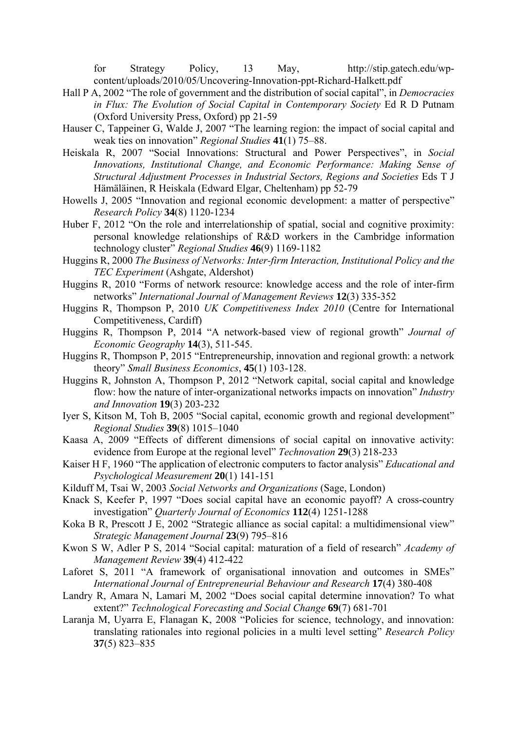for Strategy Policy, 13 May, http://stip.gatech.edu/wpcontent/uploads/2010/05/Uncovering-Innovation-ppt-Richard-Halkett.pdf

- Hall P A, 2002 "The role of government and the distribution of social capital", in *Democracies in Flux: The Evolution of Social Capital in Contemporary Society* Ed R D Putnam (Oxford University Press, Oxford) pp 21-59
- Hauser C, Tappeiner G, Walde J, 2007 "The learning region: the impact of social capital and weak ties on innovation" *Regional Studies* **41**(1) 75–88.
- Heiskala R, 2007 "Social Innovations: Structural and Power Perspectives", in *Social Innovations, Institutional Change, and Economic Performance: Making Sense of Structural Adjustment Processes in Industrial Sectors, Regions and Societies* Eds T J Hämäläinen, R Heiskala (Edward Elgar, Cheltenham) pp 52-79
- Howells J, 2005 "Innovation and regional economic development: a matter of perspective" *Research Policy* **34**(8) 1120-1234
- Huber F, 2012 "On the role and interrelationship of spatial, social and cognitive proximity: personal knowledge relationships of R&D workers in the Cambridge information technology cluster" *Regional Studies* **46**(9) 1169-1182
- Huggins R, 2000 *The Business of Networks: Inter-firm Interaction, Institutional Policy and the TEC Experiment* (Ashgate, Aldershot)
- Huggins R, 2010 "Forms of network resource: knowledge access and the role of inter-firm networks" *International Journal of Management Reviews* **12**(3) 335-352
- Huggins R, Thompson P, 2010 *UK Competitiveness Index 2010* (Centre for International Competitiveness, Cardiff)
- Huggins R, Thompson P, 2014 "A network-based view of regional growth" *Journal of Economic Geography* **14**(3), 511-545.
- Huggins R, Thompson P, 2015 "Entrepreneurship, innovation and regional growth: a network theory" *Small Business Economics*, **45**(1) 103-128.
- Huggins R, Johnston A, Thompson P, 2012 "Network capital, social capital and knowledge flow: how the nature of inter-organizational networks impacts on innovation" *Industry and Innovation* **19**(3) 203-232
- Iyer S, Kitson M, Toh B, 2005 "Social capital, economic growth and regional development" *Regional Studies* **39**(8) 1015–1040
- Kaasa A, 2009 "Effects of different dimensions of social capital on innovative activity: evidence from Europe at the regional level" *Technovation* **29**(3) 218-233
- Kaiser H F, 1960 "The application of electronic computers to factor analysis" *Educational and Psychological Measurement* **20**(1) 141-151
- Kilduff M, Tsai W, 2003 *Social Networks and Organizations* (Sage, London)
- Knack S, Keefer P, 1997 "Does social capital have an economic payoff? A cross-country investigation" *Quarterly Journal of Economics* **112**(4) 1251-1288
- Koka B R, Prescott J E, 2002 "Strategic alliance as social capital: a multidimensional view" *Strategic Management Journal* **23**(9) 795–816
- Kwon S W, Adler P S, 2014 "Social capital: maturation of a field of research" *Academy of Management Review* **39**(4) 412-422
- Laforet S, 2011 "A framework of organisational innovation and outcomes in SMEs" *International Journal of Entrepreneurial Behaviour and Research* **17**(4) 380-408
- Landry R, Amara N, Lamari M, 2002 "Does social capital determine innovation? To what extent?" *Technological Forecasting and Social Change* **69**(7) 681-701
- Laranja M, Uyarra E, Flanagan K, 2008 "Policies for science, technology, and innovation: translating rationales into regional policies in a multi level setting" *Research Policy* **37**(5) 823–835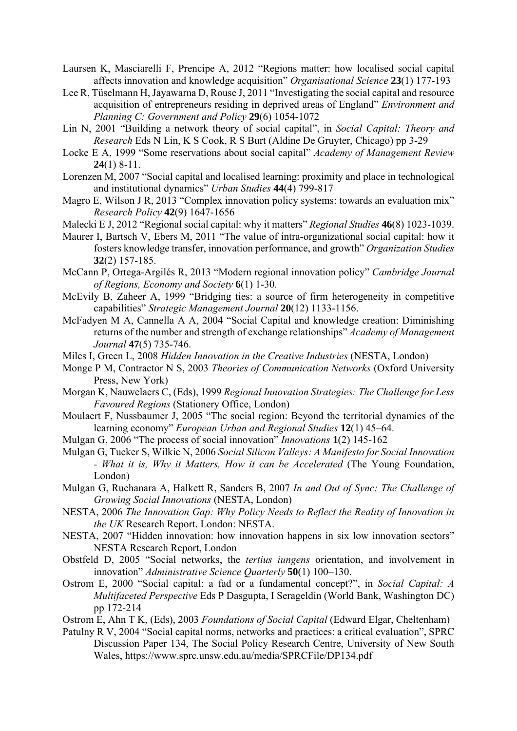- Laursen K, Masciarelli F, Prencipe A, 2012 "Regions matter: how localised social capital affects innovation and knowledge acquisition" *Organisational Science* **23**(1) 177-193
- Lee R, Tüselmann H, Jayawarna D, Rouse J, 2011 "Investigating the social capital and resource acquisition of entrepreneurs residing in deprived areas of England" *Environment and Planning C: Government and Policy* **29**(6) 1054-1072
- Lin N, 2001 "Building a network theory of social capital", in *Social Capital: Theory and Research* Eds N Lin, K S Cook, R S Burt (Aldine De Gruyter, Chicago) pp 3-29
- Locke E A, 1999 "Some reservations about social capital" *Academy of Management Review* **24**(1) 8-11.
- Lorenzen M, 2007 "Social capital and localised learning: proximity and place in technological and institutional dynamics" *Urban Studies* **44**(4) 799-817
- Magro E, Wilson J R, 2013 "Complex innovation policy systems: towards an evaluation mix" *Research Policy* **42**(9) 1647-1656
- Malecki E J, 2012 "Regional social capital: why it matters" *Regional Studies* **46**(8) 1023-1039.
- Maurer I, Bartsch V, Ebers M, 2011 "The value of intra-organizational social capital: how it fosters knowledge transfer, innovation performance, and growth" *Organization Studies* **32**(2) 157-185.
- McCann P, Ortega-Argilés R, 2013 "Modern regional innovation policy" *Cambridge Journal of Regions, Economy and Society* **6**(1) 1-30.
- McEvily B, Zaheer A, 1999 "Bridging ties: a source of firm heterogeneity in competitive capabilities" *Strategic Management Journal* **20**(12) 1133-1156.
- McFadyen M A, Cannella A A, 2004 "Social Capital and knowledge creation: Diminishing returns of the number and strength of exchange relationships" *Academy of Management Journal* **47**(5) 735-746.
- Miles I, Green L, 2008 *Hidden Innovation in the Creative Industries* (NESTA, London)
- Monge P M, Contractor N S, 2003 *Theories of Communication Networks* (Oxford University Press, New York)
- Morgan K, Nauwelaers C, (Eds), 1999 *Regional Innovation Strategies: The Challenge for Less Favoured Regions* (Stationery Office, London)
- Moulaert F, Nussbaumer J, 2005 "The social region: Beyond the territorial dynamics of the learning economy" *European Urban and Regional Studies* **12**(1) 45–64.
- Mulgan G, 2006 "The process of social innovation" *Innovations* **1**(2) 145-162
- Mulgan G, Tucker S, Wilkie N, 2006 *Social Silicon Valleys: A Manifesto for Social Innovation - What it is, Why it Matters, How it can be Accelerated* (The Young Foundation, London)
- Mulgan G, Ruchanara A, Halkett R, Sanders B, 2007 *In and Out of Sync: The Challenge of Growing Social Innovations* (NESTA, London)
- NESTA, 2006 *The Innovation Gap: Why Policy Needs to Reflect the Reality of Innovation in the UK* Research Report. London: NESTA.
- NESTA, 2007 "Hidden innovation: how innovation happens in six low innovation sectors" NESTA Research Report, London
- Obstfeld D, 2005 "Social networks, the *tertius iungens* orientation, and involvement in innovation" *Administrative Science Quarterly* **50**(1) 100–130.
- Ostrom E, 2000 "Social capital: a fad or a fundamental concept?", in *Social Capital: A Multifaceted Perspective* Eds P Dasgupta, I Serageldin (World Bank, Washington DC) pp 172-214
- Ostrom E, Ahn T K, (Eds), 2003 *Foundations of Social Capital* (Edward Elgar, Cheltenham)
- Patulny R V, 2004 "Social capital norms, networks and practices: a critical evaluation", SPRC Discussion Paper 134, The Social Policy Research Centre, University of New South Wales, https://www.sprc.unsw.edu.au/media/SPRCFile/DP134.pdf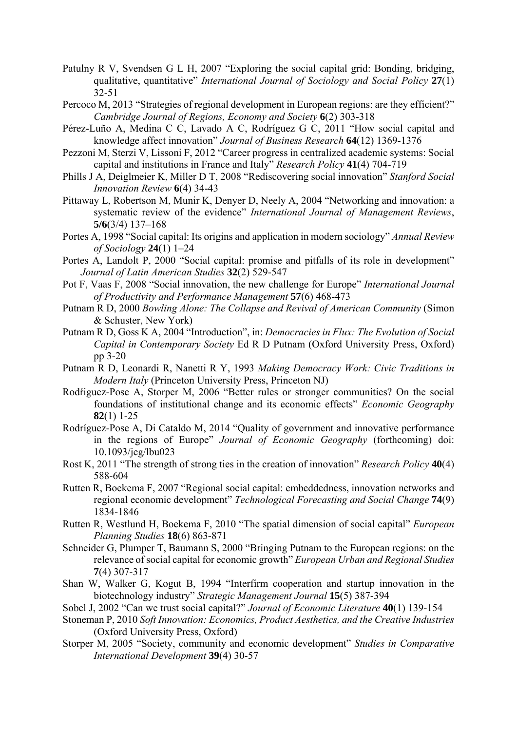- Patulny R V, Svendsen G L H, 2007 "Exploring the social capital grid: Bonding, bridging, qualitative, quantitative" *International Journal of Sociology and Social Policy* **27**(1) 32-51
- Percoco M, 2013 "Strategies of regional development in European regions: are they efficient?" *Cambridge Journal of Regions, Economy and Society* **6**(2) 303-318
- Pérez-Luño A, Medina C C, Lavado A C, Rodríguez G C, 2011 "How social capital and knowledge affect innovation" *Journal of Business Research* **64**(12) 1369-1376
- Pezzoni M, Sterzi V, Lissoni F, 2012 "Career progress in centralized academic systems: Social capital and institutions in France and Italy" *Research Policy* **41**(4) 704-719
- Phills J A, Deiglmeier K, Miller D T, 2008 "Rediscovering social innovation" *Stanford Social Innovation Review* **6**(4) 34-43
- Pittaway L, Robertson M, Munir K, Denyer D, Neely A, 2004 "Networking and innovation: a systematic review of the evidence" *International Journal of Management Reviews*, **5/6**(3/4) 137–168
- Portes A, 1998 "Social capital: Its origins and application in modern sociology" *Annual Review of Sociology* **24**(1) 1–24
- Portes A, Landolt P, 2000 "Social capital: promise and pitfalls of its role in development" *Journal of Latin American Studies* **32**(2) 529-547
- Pot F, Vaas F, 2008 "Social innovation, the new challenge for Europe" *International Journal of Productivity and Performance Management* **57**(6) 468-473
- Putnam R D, 2000 *Bowling Alone: The Collapse and Revival of American Community* (Simon & Schuster, New York)
- Putnam R D, Goss K A, 2004 "Introduction", in: *Democracies in Flux: The Evolution of Social Capital in Contemporary Society* Ed R D Putnam (Oxford University Press, Oxford) pp 3-20
- Putnam R D, Leonardi R, Nanetti R Y, 1993 *Making Democracy Work: Civic Traditions in Modern Italy* (Princeton University Press, Princeton NJ)
- Rodfiguez-Pose A, Storper M, 2006 "Better rules or stronger communities? On the social foundations of institutional change and its economic effects" *Economic Geography* **82**(1) 1-25
- Rodríguez-Pose A, Di Cataldo M, 2014 "Quality of government and innovative performance in the regions of Europe" *Journal of Economic Geography* (forthcoming) doi: 10.1093/jeg/lbu023
- Rost K, 2011 "The strength of strong ties in the creation of innovation" *Research Policy* **40**(4) 588-604
- Rutten R, Boekema F, 2007 "Regional social capital: embeddedness, innovation networks and regional economic development" *Technological Forecasting and Social Change* **74**(9) 1834-1846
- Rutten R, Westlund H, Boekema F, 2010 "The spatial dimension of social capital" *European Planning Studies* **18**(6) 863-871
- Schneider G, Plumper T, Baumann S, 2000 "Bringing Putnam to the European regions: on the relevance of social capital for economic growth" *European Urban and Regional Studies* **7**(4) 307-317
- Shan W, Walker G, Kogut B, 1994 "Interfirm cooperation and startup innovation in the biotechnology industry" *Strategic Management Journal* **15**(5) 387-394
- Sobel J, 2002 "Can we trust social capital?" *Journal of Economic Literature* **40**(1) 139-154
- Stoneman P, 2010 *Soft Innovation: Economics, Product Aesthetics, and the Creative Industries* (Oxford University Press, Oxford)
- Storper M, 2005 "Society, community and economic development" *Studies in Comparative International Development* **39**(4) 30-57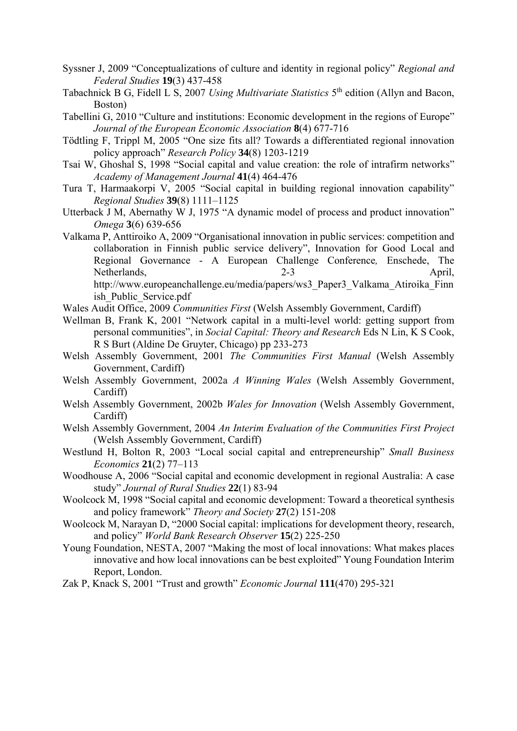- Syssner J, 2009 "Conceptualizations of culture and identity in regional policy" *Regional and Federal Studies* **19**(3) 437-458
- Tabachnick B G, Fidell L S, 2007 *Using Multivariate Statistics* 5<sup>th</sup> edition (Allyn and Bacon, Boston)
- Tabellini G, 2010 "Culture and institutions: Economic development in the regions of Europe" *Journal of the European Economic Association* **8**(4) 677-716
- Tödtling F, Trippl M, 2005 "One size fits all? Towards a differentiated regional innovation policy approach" *Research Policy* **34**(8) 1203-1219
- Tsai W, Ghoshal S, 1998 "Social capital and value creation: the role of intrafirm networks" *Academy of Management Journal* **41**(4) 464-476
- Tura T, Harmaakorpi V, 2005 "Social capital in building regional innovation capability" *Regional Studies* **39**(8) 1111–1125
- Utterback J M, Abernathy W J, 1975 "A dynamic model of process and product innovation" *Omega* **3**(6) 639-656
- Valkama P, Anttiroiko A, 2009 "Organisational innovation in public services: competition and collaboration in Finnish public service delivery", Innovation for Good Local and Regional Governance - A European Challenge Conference*,* Enschede, The Netherlands. 2-3 April, http://www.europeanchallenge.eu/media/papers/ws3\_Paper3\_Valkama\_Atiroika\_Finn ish\_Public\_Service.pdf
- Wales Audit Office, 2009 *Communities First* (Welsh Assembly Government, Cardiff)
- Wellman B, Frank K, 2001 "Network capital in a multi-level world: getting support from personal communities", in *Social Capital: Theory and Research* Eds N Lin, K S Cook, R S Burt (Aldine De Gruyter, Chicago) pp 233-273
- Welsh Assembly Government, 2001 *The Communities First Manual* (Welsh Assembly Government, Cardiff)
- Welsh Assembly Government, 2002a *A Winning Wales* (Welsh Assembly Government, Cardiff)
- Welsh Assembly Government, 2002b *Wales for Innovation* (Welsh Assembly Government, Cardiff)
- Welsh Assembly Government, 2004 *An Interim Evaluation of the Communities First Project* (Welsh Assembly Government, Cardiff)
- Westlund H, Bolton R, 2003 "Local social capital and entrepreneurship" *Small Business Economics* **21**(2) 77–113
- Woodhouse A, 2006 "Social capital and economic development in regional Australia: A case study" *Journal of Rural Studies* **22**(1) 83-94
- Woolcock M, 1998 "Social capital and economic development: Toward a theoretical synthesis and policy framework" *Theory and Society* **27**(2) 151-208
- Woolcock M, Narayan D, "2000 Social capital: implications for development theory, research, and policy" *World Bank Research Observer* **15**(2) 225-250
- Young Foundation, NESTA, 2007 "Making the most of local innovations: What makes places innovative and how local innovations can be best exploited" Young Foundation Interim Report, London.
- Zak P, Knack S, 2001 "Trust and growth" *Economic Journal* **111**(470) 295-321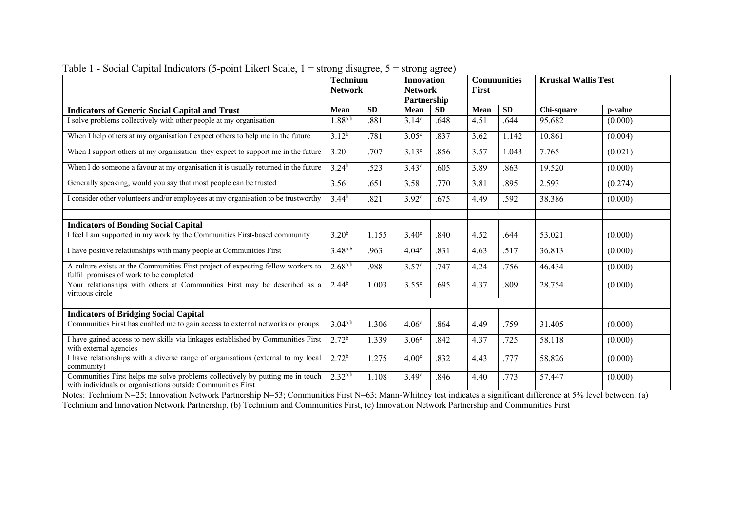|                                                                                                                                              | <b>Technium</b><br><b>Network</b> |           | <b>Innovation</b><br><b>Network</b><br>Partnership |           | <b>First</b> | <b>Communities</b> | <b>Kruskal Wallis Test</b> |         |
|----------------------------------------------------------------------------------------------------------------------------------------------|-----------------------------------|-----------|----------------------------------------------------|-----------|--------------|--------------------|----------------------------|---------|
| <b>Indicators of Generic Social Capital and Trust</b>                                                                                        | Mean                              | <b>SD</b> | Mean                                               | <b>SD</b> | Mean         | <b>SD</b>          | Chi-square                 | p-value |
| I solve problems collectively with other people at my organisation                                                                           | $1.88^{a,b}$                      | .881      | 3.14 <sup>c</sup>                                  | .648      | 4.51         | .644               | 95.682                     | (0.000) |
| When I help others at my organisation I expect others to help me in the future                                                               | $3.12^{b}$                        | .781      | 3.05 <sup>c</sup>                                  | .837      | 3.62         | 1.142              | 10.861                     | (0.004) |
| When I support others at my organisation they expect to support me in the future                                                             | 3.20                              | .707      | 3.13 <sup>c</sup>                                  | .856      | 3.57         | 1.043              | 7.765                      | (0.021) |
| When I do someone a favour at my organisation it is usually returned in the future                                                           | $3.24^{b}$                        | .523      | 3.43 <sup>c</sup>                                  | .605      | 3.89         | .863               | 19.520                     | (0.000) |
| Generally speaking, would you say that most people can be trusted                                                                            | 3.56                              | .651      | 3.58                                               | .770      | 3.81         | .895               | 2.593                      | (0.274) |
| I consider other volunteers and/or employees at my organisation to be trustworthy                                                            | $3.44^{b}$                        | .821      | 3.92 <sup>c</sup>                                  | .675      | 4.49         | .592               | 38.386                     | (0.000) |
| <b>Indicators of Bonding Social Capital</b>                                                                                                  |                                   |           |                                                    |           |              |                    |                            |         |
| I feel I am supported in my work by the Communities First-based community                                                                    | 3.20 <sup>b</sup>                 | 1.155     | 3.40 <sup>c</sup>                                  | .840      | 4.52         | .644               | 53.021                     | (0.000) |
| I have positive relationships with many people at Communities First                                                                          | $3.48^{a,b}$                      | .963      | 4.04 <sup>c</sup>                                  | .831      | 4.63         | .517               | 36.813                     | (0.000) |
| A culture exists at the Communities First project of expecting fellow workers to<br>fulfil promises of work to be completed                  | $2.68^{a,b}$                      | .988      | 3.57 <sup>c</sup>                                  | .747      | 4.24         | .756               | 46.434                     | (0.000) |
| Your relationships with others at Communities First may be described as a<br>virtuous circle                                                 | $2.44^{b}$                        | 1.003     | 3.55 <sup>c</sup>                                  | .695      | 4.37         | .809               | 28.754                     | (0.000) |
| <b>Indicators of Bridging Social Capital</b>                                                                                                 |                                   |           |                                                    |           |              |                    |                            |         |
| Communities First has enabled me to gain access to external networks or groups                                                               | $3.04^{a,b}$                      | 1.306     | 4.06 <sup>c</sup>                                  | .864      | 4.49         | .759               | 31.405                     | (0.000) |
| I have gained access to new skills via linkages established by Communities First<br>with external agencies                                   | 2.72 <sup>b</sup>                 | 1.339     | 3.06 <sup>c</sup>                                  | .842      | 4.37         | .725               | 58.118                     | (0.000) |
| I have relationships with a diverse range of organisations (external to my local<br>community)                                               | 2.72 <sup>b</sup>                 | 1.275     | 4.00 <sup>c</sup>                                  | .832      | 4.43         | .777               | 58.826                     | (0.000) |
| Communities First helps me solve problems collectively by putting me in touch<br>with individuals or organisations outside Communities First | $2.32^{a,b}$                      | 1.108     | 3.49 <sup>c</sup>                                  | .846      | 4.40         | .773               | 57.447                     | (0.000) |

Table 1 - Social Capital Indicators (5-point Likert Scale, 1 = strong disagree, 5 = strong agree)

Notes: Technium N=25; Innovation Network Partnership N=53; Communities First N=63; Mann-Whitney test indicates a significant difference at 5% level between: (a) Technium and Innovation Network Partnership, (b) Technium and Communities First, (c) Innovation Network Partnership and Communities First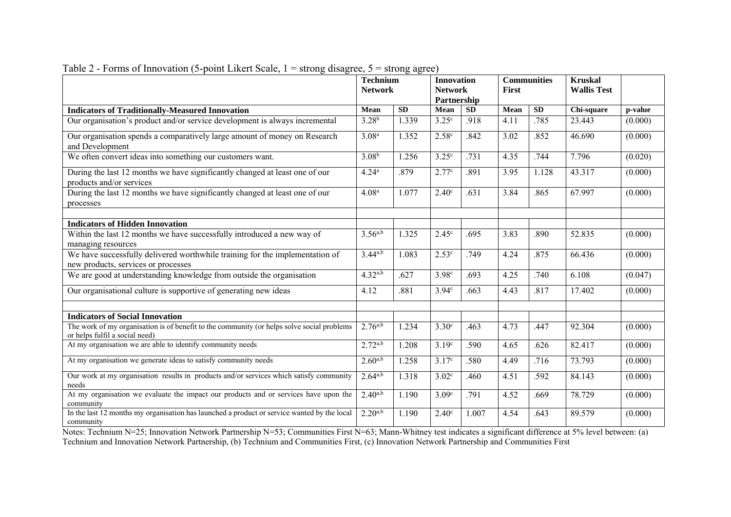|                                                                                                                              | <b>Technium</b><br><b>Network</b> |           |                   | <b>Innovation</b><br><b>Network</b><br>First<br>Partnership |      | <b>Communities</b> | <b>Kruskal</b><br><b>Wallis Test</b> |         |
|------------------------------------------------------------------------------------------------------------------------------|-----------------------------------|-----------|-------------------|-------------------------------------------------------------|------|--------------------|--------------------------------------|---------|
| <b>Indicators of Traditionally-Measured Innovation</b>                                                                       | Mean                              | <b>SD</b> | Mean              | <b>SD</b>                                                   | Mean | SD                 | Chi-square                           | p-value |
| Our organisation's product and/or service development is always incremental                                                  | $3.28^{b}$                        | 1.339     | 3.25 <sup>c</sup> | .918                                                        | 4.11 | .785               | 23.443                               | (0.000) |
| Our organisation spends a comparatively large amount of money on Research<br>and Development                                 | 3.08 <sup>a</sup>                 | 1.352     | 2.58 <sup>c</sup> | .842                                                        | 3.02 | .852               | 46.690                               | (0.000) |
| We often convert ideas into something our customers want.                                                                    | $3.08^{b}$                        | 1.256     | 3.25 <sup>c</sup> | .731                                                        | 4.35 | .744               | 7.796                                | (0.020) |
| During the last 12 months we have significantly changed at least one of our<br>products and/or services                      | 4.24 <sup>a</sup>                 | .879      | 2.77c             | .891                                                        | 3.95 | 1.128              | 43.317                               | (0.000) |
| During the last 12 months we have significantly changed at least one of our<br>processes                                     | 4.08 <sup>a</sup>                 | 1.077     | 2.40 <sup>c</sup> | .631                                                        | 3.84 | .865               | 67.997                               | (0.000) |
| <b>Indicators of Hidden Innovation</b>                                                                                       |                                   |           |                   |                                                             |      |                    |                                      |         |
| Within the last 12 months we have successfully introduced a new way of<br>managing resources                                 | $3.56^{a,b}$                      | 1.325     | 2.45 <sup>c</sup> | .695                                                        | 3.83 | .890               | 52.835                               | (0.000) |
| We have successfully delivered worthwhile training for the implementation of<br>new products, services or processes          | $3.44^{a,b}$                      | 1.083     | 2.53 <sup>c</sup> | .749                                                        | 4.24 | .875               | 66.436                               | (0.000) |
| We are good at understanding knowledge from outside the organisation                                                         | $4.32^{a,b}$                      | .627      | 3.98 <sup>c</sup> | .693                                                        | 4.25 | .740               | 6.108                                | (0.047) |
| Our organisational culture is supportive of generating new ideas                                                             | 4.12                              | .881      | 3.94 <sup>c</sup> | .663                                                        | 4.43 | .817               | 17.402                               | (0.000) |
| <b>Indicators of Social Innovation</b>                                                                                       |                                   |           |                   |                                                             |      |                    |                                      |         |
| The work of my organisation is of benefit to the community (or helps solve social problems<br>or helps fulfil a social need) | $2.76^{a,b}$                      | 1.234     | 3.30 <sup>c</sup> | .463                                                        | 4.73 | .447               | 92.304                               | (0.000) |
| At my organisation we are able to identify community needs                                                                   | $2.72^{a,b}$                      | 1.208     | 3.19 <sup>c</sup> | .590                                                        | 4.65 | .626               | 82.417                               | (0.000) |
| At my organisation we generate ideas to satisfy community needs                                                              | $2.60^{a,b}$                      | 1.258     | 3.17c             | .580                                                        | 4.49 | .716               | 73.793                               | (0.000) |
| Our work at my organisation results in products and/or services which satisfy community<br>needs                             | $2.64^{a,b}$                      | 1.318     | 3.02 <sup>c</sup> | .460                                                        | 4.51 | .592               | 84.143                               | (0.000) |
| At my organisation we evaluate the impact our products and or services have upon the<br>community                            | $2.40^{a,b}$                      | 1.190     | 3.09 <sup>c</sup> | .791                                                        | 4.52 | .669               | 78.729                               | (0.000) |
| In the last 12 months my organisation has launched a product or service wanted by the local<br>community                     | $2.20^{a,b}$                      | 1.190     | 2.40 <sup>c</sup> | 1.007                                                       | 4.54 | .643               | 89.579                               | (0.000) |

|  |  |  |  | Table 2 - Forms of Innovation (5-point Likert Scale, $1 =$ strong disagree, $5 =$ strong agree) |
|--|--|--|--|-------------------------------------------------------------------------------------------------|
|  |  |  |  |                                                                                                 |

Notes: Technium N=25; Innovation Network Partnership N=53; Communities First N=63; Mann-Whitney test indicates a significant difference at 5% level between: (a) Technium and Innovation Network Partnership, (b) Technium and Communities First, (c) Innovation Network Partnership and Communities First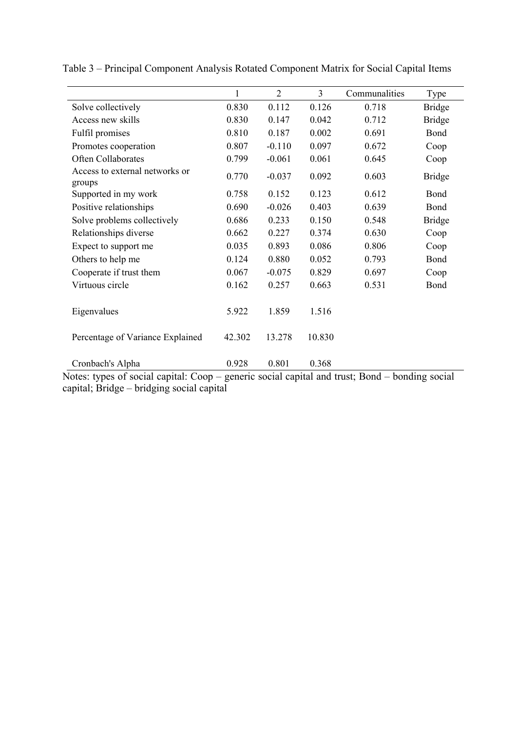|                                                   | 1      | $\overline{2}$     | $\overline{3}$ | Communalities                                | Type                       |
|---------------------------------------------------|--------|--------------------|----------------|----------------------------------------------|----------------------------|
| Solve collectively                                | 0.830  | 0.112              | 0.126          | 0.718                                        | <b>Bridge</b>              |
| Access new skills                                 | 0.830  | 0.147              | 0.042          | 0.712                                        | <b>Bridge</b>              |
| Fulfil promises                                   | 0.810  | 0.187              | 0.002          | 0.691                                        | Bond                       |
| Promotes cooperation                              | 0.807  | $-0.110$           | 0.097          | 0.672                                        | Coop                       |
| Often Collaborates                                | 0.799  | $-0.061$           | 0.061          | 0.645                                        | Coop                       |
| Access to external networks or<br>groups          | 0.770  | $-0.037$           | 0.092          | 0.603                                        | <b>Bridge</b>              |
| Supported in my work                              | 0.758  | 0.152              | 0.123          | 0.612                                        | Bond                       |
| Positive relationships                            | 0.690  | $-0.026$           | 0.403          | 0.639                                        | Bond                       |
| Solve problems collectively                       | 0.686  | 0.233              | 0.150          | 0.548                                        | <b>Bridge</b>              |
| Relationships diverse                             | 0.662  | 0.227              | 0.374          | 0.630                                        | Coop                       |
| Expect to support me                              | 0.035  | 0.893              | 0.086          | 0.806                                        | Coop                       |
| Others to help me                                 | 0.124  | 0.880              | 0.052          | 0.793                                        | Bond                       |
| Cooperate if trust them                           | 0.067  | $-0.075$           | 0.829          | 0.697                                        | Coop                       |
| Virtuous circle                                   | 0.162  | 0.257              | 0.663          | 0.531                                        | Bond                       |
| Eigenvalues                                       | 5.922  | 1.859              | 1.516          |                                              |                            |
| Percentage of Variance Explained                  | 42.302 | 13.278             | 10.830         |                                              |                            |
| Cronbach's Alpha<br>$\cdot$ 1<br>$\cdot$ 1 $\sim$ | 0.928  | 0.801<br>$\cdot$ 1 | 0.368<br>111   | $\blacksquare$<br>$\sqrt{2}$<br>$\mathbf{1}$ | $\cdot$ $\cdot$<br>$\cdot$ |

Table 3 – Principal Component Analysis Rotated Component Matrix for Social Capital Items

Notes: types of social capital: Coop – generic social capital and trust; Bond – bonding social capital; Bridge – bridging social capital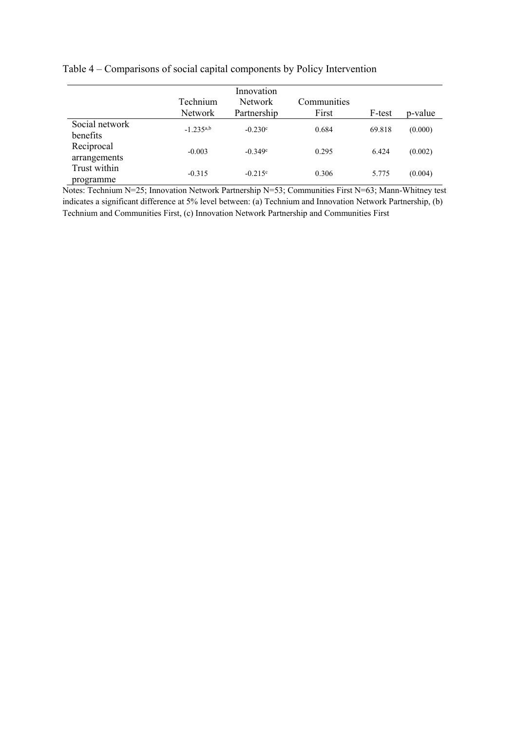# Table 4 – Comparisons of social capital components by Policy Intervention

|                            |                | Innovation       |             |        |         |
|----------------------------|----------------|------------------|-------------|--------|---------|
|                            | Technium       | Network          | Communities |        |         |
|                            | <b>Network</b> | Partnership      | First       | F-test | p-value |
| Social network<br>benefits | $-1.235^{a,b}$ | $-0.230^{\circ}$ | 0.684       | 69.818 | (0.000) |
| Reciprocal<br>arrangements | $-0.003$       | $-0.349c$        | 0.295       | 6.424  | (0.002) |
| Trust within<br>programme  | $-0.315$       | $-0.215^{\circ}$ | 0.306       | 5.775  | (0.004) |

Notes: Technium N=25; Innovation Network Partnership N=53; Communities First N=63; Mann-Whitney test indicates a significant difference at 5% level between: (a) Technium and Innovation Network Partnership, (b) Technium and Communities First, (c) Innovation Network Partnership and Communities First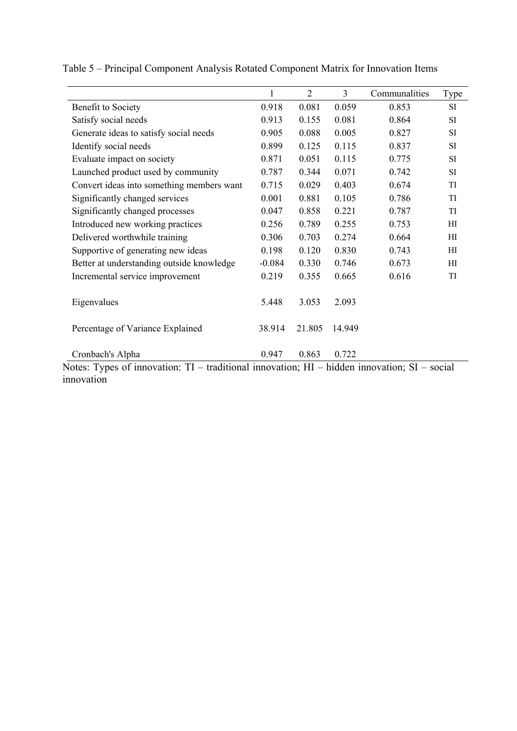|                                                                                                                  | $\mathbf{1}$ | $\overline{2}$ | $\overline{3}$ | Communalities | Type      |
|------------------------------------------------------------------------------------------------------------------|--------------|----------------|----------------|---------------|-----------|
| Benefit to Society                                                                                               | 0.918        | 0.081          | 0.059          | 0.853         | SI        |
| Satisfy social needs                                                                                             | 0.913        | 0.155          | 0.081          | 0.864         | <b>SI</b> |
| Generate ideas to satisfy social needs                                                                           | 0.905        | 0.088          | 0.005          | 0.827         | SI        |
| Identify social needs                                                                                            | 0.899        | 0.125          | 0.115          | 0.837         | SI        |
| Evaluate impact on society                                                                                       | 0.871        | 0.051          | 0.115          | 0.775         | <b>SI</b> |
| Launched product used by community                                                                               | 0.787        | 0.344          | 0.071          | 0.742         | SI        |
| Convert ideas into something members want                                                                        | 0.715        | 0.029          | 0.403          | 0.674         | TI        |
| Significantly changed services                                                                                   | 0.001        | 0.881          | 0.105          | 0.786         | TI        |
| Significantly changed processes                                                                                  | 0.047        | 0.858          | 0.221          | 0.787         | TI        |
| Introduced new working practices                                                                                 | 0.256        | 0.789          | 0.255          | 0.753         | HI        |
| Delivered worthwhile training                                                                                    | 0.306        | 0.703          | 0.274          | 0.664         | HI        |
| Supportive of generating new ideas                                                                               | 0.198        | 0.120          | 0.830          | 0.743         | HI        |
| Better at understanding outside knowledge                                                                        | $-0.084$     | 0.330          | 0.746          | 0.673         | HI        |
| Incremental service improvement                                                                                  | 0.219        | 0.355          | 0.665          | 0.616         | TI        |
| Eigenvalues                                                                                                      | 5.448        | 3.053          | 2.093          |               |           |
| Percentage of Variance Explained                                                                                 | 38.914       | 21.805         | 14.949         |               |           |
| Cronbach's Alpha                                                                                                 | 0.947        | 0.863          | 0.722          |               |           |
| Notes: Types of innovation: $TI$ – traditional innovation; $HI$ – hidden innovation; $SI$ – social<br>innovation |              |                |                |               |           |

Table 5 – Principal Component Analysis Rotated Component Matrix for Innovation Items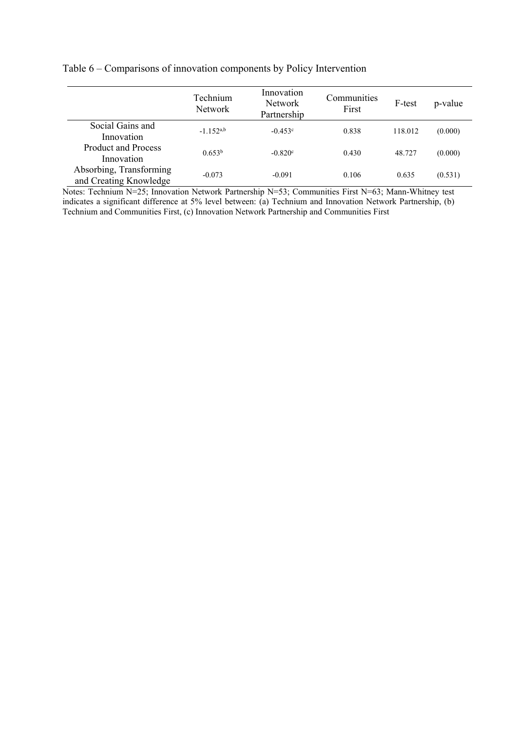# Table 6 – Comparisons of innovation components by Policy Intervention

|                                                   | Technium<br>Network | Innovation<br><b>Network</b><br>Partnership | Communities<br>First | F-test  | p-value |
|---------------------------------------------------|---------------------|---------------------------------------------|----------------------|---------|---------|
| Social Gains and<br>Innovation                    | $-1.152^{a,b}$      | $-0.453c$                                   | 0.838                | 118.012 | (0.000) |
| <b>Product and Process</b><br>Innovation          | 0.653 <sup>b</sup>  | $-0.820c$                                   | 0.430                | 48.727  | (0.000) |
| Absorbing, Transforming<br>and Creating Knowledge | $-0.073$            | $-0.091$                                    | 0.106                | 0.635   | (0.531) |

Notes: Technium N=25; Innovation Network Partnership N=53; Communities First N=63; Mann-Whitney test indicates a significant difference at 5% level between: (a) Technium and Innovation Network Partnership, (b) Technium and Communities First, (c) Innovation Network Partnership and Communities First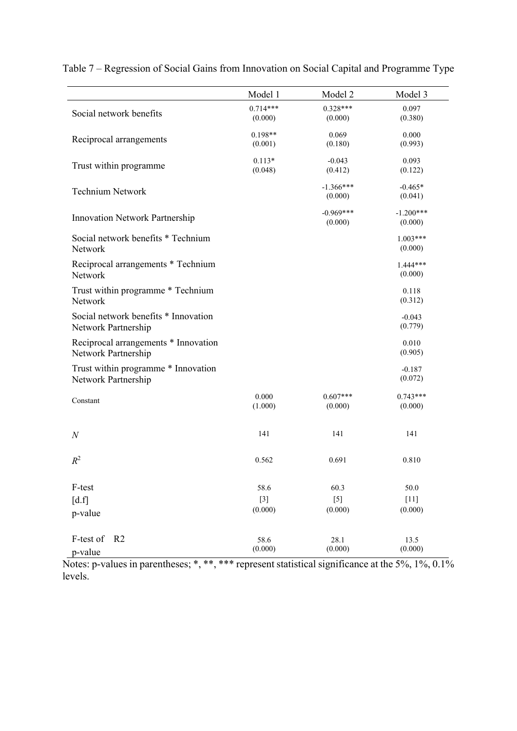|                                                             | Model 1               | Model 2                | Model 3                |
|-------------------------------------------------------------|-----------------------|------------------------|------------------------|
| Social network benefits                                     | $0.714***$<br>(0.000) | $0.328***$<br>(0.000)  | 0.097<br>(0.380)       |
| Reciprocal arrangements                                     | $0.198**$<br>(0.001)  | 0.069<br>(0.180)       | 0.000<br>(0.993)       |
| Trust within programme                                      | $0.113*$<br>(0.048)   | $-0.043$<br>(0.412)    | 0.093<br>(0.122)       |
| <b>Technium Network</b>                                     |                       | $-1.366***$<br>(0.000) | $-0.465*$<br>(0.041)   |
| <b>Innovation Network Partnership</b>                       |                       | $-0.969***$<br>(0.000) | $-1.200***$<br>(0.000) |
| Social network benefits * Technium<br>Network               |                       |                        | $1.003***$<br>(0.000)  |
| Reciprocal arrangements * Technium<br>Network               |                       |                        | $1444***$<br>(0.000)   |
| Trust within programme * Technium<br>Network                |                       |                        | 0.118<br>(0.312)       |
| Social network benefits * Innovation<br>Network Partnership |                       |                        | $-0.043$<br>(0.779)    |
| Reciprocal arrangements * Innovation<br>Network Partnership |                       |                        | 0.010<br>(0.905)       |
| Trust within programme * Innovation<br>Network Partnership  |                       |                        | $-0.187$<br>(0.072)    |
| Constant                                                    | 0.000<br>(1.000)      | $0.607***$<br>(0.000)  | $0.743***$<br>(0.000)  |
| $\boldsymbol{N}$                                            | 141                   | 141                    | 141                    |
| $R^2$                                                       | 0.562                 | 0.691                  | 0.810                  |
| F-test                                                      | 58.6                  | 60.3                   | 50.0                   |
| [d.f]                                                       | $[3]$                 | $[5]$                  | $[11]$                 |
| p-value                                                     | (0.000)               | (0.000)                | (0.000)                |
| F-test of<br>R <sub>2</sub>                                 | 58.6                  | 28.1                   | 13.5                   |
| p-value                                                     | (0.000)               | (0.000)                | (0.000)                |

Table 7 – Regression of Social Gains from Innovation on Social Capital and Programme Type

Notes: p-values in parentheses; \*, \*\*, \*\*\* represent statistical significance at the 5%, 1%, 0.1% levels.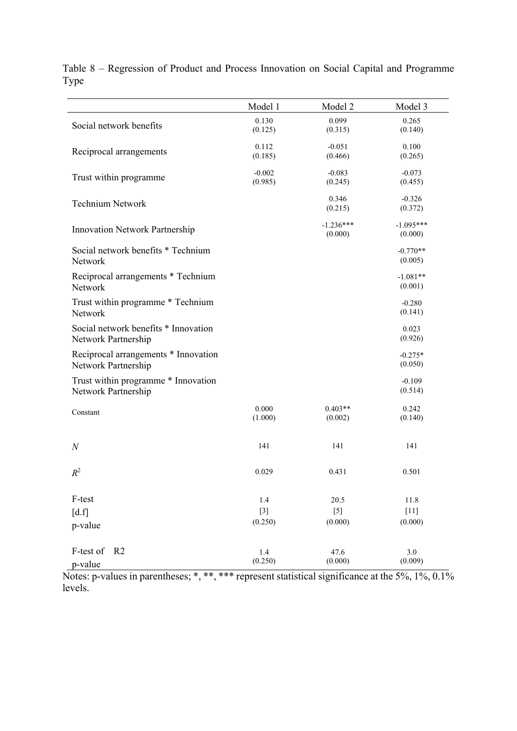|                                       | Model 1          | Model 2          | Model 3           |
|---------------------------------------|------------------|------------------|-------------------|
| Social network benefits               | 0.130            | 0.099            | 0.265             |
|                                       | (0.125)          | (0.315)          | (0.140)           |
| Reciprocal arrangements               | 0.112            | $-0.051$         | 0.100             |
|                                       | (0.185)          | (0.466)          | (0.265)           |
| Trust within programme                | $-0.002$         | $-0.083$         | $-0.073$          |
|                                       | (0.985)          | (0.245)          | (0.455)           |
| <b>Technium Network</b>               |                  | 0.346            | $-0.326$          |
|                                       |                  | (0.215)          | (0.372)           |
| <b>Innovation Network Partnership</b> |                  | $-1.236***$      | $-1.095***$       |
|                                       |                  | (0.000)          | (0.000)           |
| Social network benefits * Technium    |                  |                  | $-0.770**$        |
| Network                               |                  |                  | (0.005)           |
| Reciprocal arrangements * Technium    |                  |                  | $-1.081**$        |
| Network                               |                  |                  | (0.001)           |
| Trust within programme * Technium     |                  |                  | $-0.280$          |
| Network                               |                  |                  | (0.141)           |
| Social network benefits * Innovation  |                  |                  | 0.023             |
| Network Partnership                   |                  |                  | (0.926)           |
| Reciprocal arrangements * Innovation  |                  |                  | $-0.275*$         |
| Network Partnership                   |                  |                  | (0.050)           |
| Trust within programme * Innovation   |                  |                  | $-0.109$          |
| Network Partnership                   |                  |                  | (0.514)           |
| Constant                              | 0.000            | $0.403**$        | 0.242             |
|                                       | (1.000)          | (0.002)          | (0.140)           |
|                                       |                  |                  |                   |
| $\mathcal N$                          | 141              | 141              | 141               |
|                                       |                  |                  |                   |
| $R^2$                                 | 0.029            | 0.431            | 0.501             |
|                                       |                  |                  |                   |
| F-test                                | 1.4              | 20.5             | 11.8              |
| $\lceil d.f \rceil$                   | $[3]$<br>(0.250) | $[5]$<br>(0.000) | $[11]$<br>(0.000) |
| p-value                               |                  |                  |                   |
| R <sub>2</sub>                        |                  |                  |                   |
| F-test of                             | 1.4<br>(0.250)   | 47.6<br>(0.000)  | 3.0<br>(0.009)    |
| p-value                               |                  |                  |                   |

Table 8 – Regression of Product and Process Innovation on Social Capital and Programme Type

Notes: p-values in parentheses; \*, \*\*, \*\*\* represent statistical significance at the 5%, 1%, 0.1% levels.